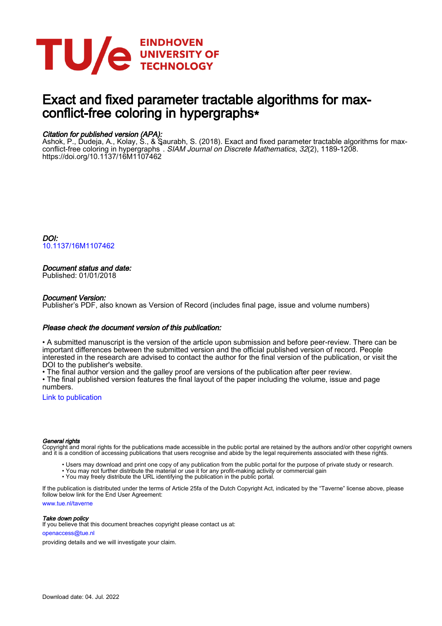

# Exact and fixed parameter tractable algorithms for maxconflict-free coloring in hypergraphs∗

# Citation for published version (APA):

Ashok, P., Dudeja, A., Kolay, S., & Saurabh, S. (2018). Exact and fixed parameter tractable algorithms for max-<br>conflict-free coloring in hypergraphsं. *SIAM Journal on Discrete Mathematics*, *32*(2), 1189-1208. <https://doi.org/10.1137/16M1107462>

DOI: [10.1137/16M1107462](https://doi.org/10.1137/16M1107462)

# Document status and date:

Published: 01/01/2018

## Document Version:

Publisher's PDF, also known as Version of Record (includes final page, issue and volume numbers)

### Please check the document version of this publication:

• A submitted manuscript is the version of the article upon submission and before peer-review. There can be important differences between the submitted version and the official published version of record. People interested in the research are advised to contact the author for the final version of the publication, or visit the DOI to the publisher's website.

• The final author version and the galley proof are versions of the publication after peer review.

• The final published version features the final layout of the paper including the volume, issue and page numbers.

[Link to publication](https://research.tue.nl/en/publications/604496d6-c578-42bb-adca-a0eb480c95b4)

#### General rights

Copyright and moral rights for the publications made accessible in the public portal are retained by the authors and/or other copyright owners and it is a condition of accessing publications that users recognise and abide by the legal requirements associated with these rights.

- Users may download and print one copy of any publication from the public portal for the purpose of private study or research.
- You may not further distribute the material or use it for any profit-making activity or commercial gain
- You may freely distribute the URL identifying the publication in the public portal.

If the publication is distributed under the terms of Article 25fa of the Dutch Copyright Act, indicated by the "Taverne" license above, please follow below link for the End User Agreement:

www.tue.nl/taverne

**Take down policy**<br>If you believe that this document breaches copyright please contact us at:

openaccess@tue.nl

providing details and we will investigate your claim.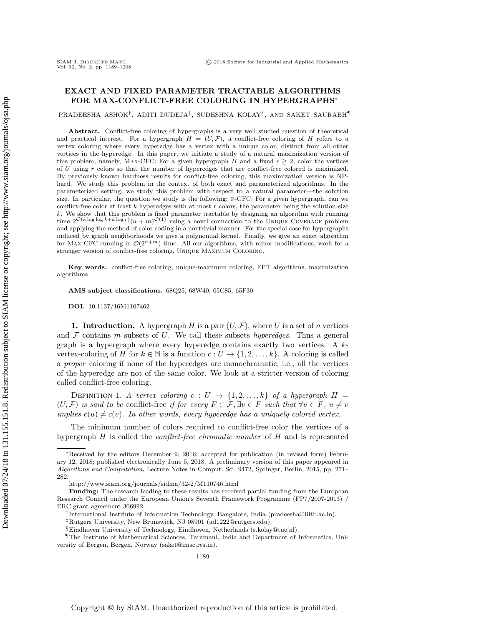# **EXACT AND FIXED PARAMETER TRACTABLE ALGORITHMS FOR MAX-CONFLICT-FREE COLORING IN HYPERGRAPHS**∗

PRADEESHA ASHOK†, ADITI DUDEJA‡, SUDESHNA KOLAY§, AND SAKET SAURABH¶

**Abstract.** Conflict-free coloring of hypergraphs is a very well studied question of theoretical and practical interest. For a hypergraph  $H = (U, \mathcal{F})$ , a conflict-free coloring of *H* refers to a vertex coloring where every hyperedge has a vertex with a unique color, distinct from all other vertices in the hyperedge. In this paper, we initiate a study of a natural maximization version of this problem, namely, MAX-CFC: For a given hypergraph *H* and a fixed  $r \geq 2$ , color the vertices of *U* using *r* colors so that the number of hyperedges that are conflict-free colored is maximized. By previously known hardness results for conflict-free coloring, this maximization version is NPhard. We study this problem in the context of both exact and parameterized algorithms. In the parameterized setting, we study this problem with respect to a natural parameter—the solution size. In particular, the question we study is the following: p-CFC: For a given hypergraph, can we conflict-free color at least  $k$  hyperedges with at most  $r$  colors, the parameter being the solution size *k*. We show that this problem is fixed parameter tractable by designing an algorithm with running time  $2^{\mathcal{O}(k \log \log k + k \log r)}(n+m)^{\mathcal{O}(1)}$  using a novel connection to the UNIQUE COVERAGE problem and applying the method of color coding in a nontrivial manner. For the special case for hypergraphs induced by graph neighborhoods we give a polynomial kernel. Finally, we give an exact algorithm for Max-CFC running in  $\mathcal{O}(2^{n+m})$  time. All our algorithms, with minor modifications, work for a stronger version of conflict-free coloring, Unique Maximum Coloring.

**Key words.** conflict-free coloring, unique-maximum coloring, FPT algorithms, maximization algorithms

**AMS subject classifications.** 68Q25, 68W40, 05C85, 65F30

**DOI.** 10.1137/16M1107462

**1. Introduction.** A hypergraph  $H$  is a pair  $(U, \mathcal{F})$ , where U is a set of n vertices and  $\mathcal F$  contains m subsets of U. We call these subsets *hyperedges*. Thus a general graph is a hypergraph where every hyperedge contains exactly two vertices. A  $k$ vertex-coloring of H for  $k \in \mathbb{N}$  is a function  $c: U \to \{1, 2, \ldots, k\}$ . A coloring is called a *proper* coloring if none of the hyperedges are monochromatic, i.e., all the vertices of the hyperedge are not of the same color. We look at a stricter version of coloring called conflict-free coloring.

DEFINITION 1. *A vertex coloring*  $c: U \rightarrow \{1, 2, ..., k\}$  *of a hypergraph*  $H =$  $(U, \mathcal{F})$  *is said to be* conflict-free *if for every*  $F \in \mathcal{F}$ ,  $\exists v \in F$  *such that*  $\forall u \in F$ ,  $u \neq v$ *implies*  $c(u) \neq c(v)$ *. In other words, every hyperedge has a uniquely colored vertex.* 

The minimum number of colors required to conflict-free color the vertices of a hypergraph H is called the *conflict-free chromatic number* of <sup>H</sup> and is represented

<sup>∗</sup>Received by the editors December 9, 2016; accepted for publication (in revised form) February 12, 2018; published electronically June 5, 2018. A preliminary version of this paper appeared in *Algorithms and Computation*, Lecture Notes in Comput. Sci. 9472, Springer, Berlin, 2015, pp. 271– 282.

<http://www.siam.org/journals/sidma/32-2/M110746.html>

**Funding:** The research leading to these results has received partial funding from the European Research Council under the European Union's Seventh Framework Programme (FP7/2007-2013) / ERC grant agreement 306992.

<sup>†</sup>International Institute of Information Technology, Bangalore, India [\(pradeesha@iiitb.ac.in\)](mailto:pradeesha@iiitb.ac.in).

<sup>‡</sup>Rutgers University, New Brunswick, NJ 08901 [\(ad1222@rutgers.edu\)](mailto:ad1222@rutgers.edu).

<sup>§</sup>Eindhoven University of Technology, Eindhoven, Netherlands [\(s.kolay@tue.nl\)](mailto:s.kolay@tue.nl).

<sup>¶</sup>The Institute of Mathematical Sciences, Taramani, India and Department of Informatics, University of Bergen, Bergen, Norway [\(saket@imsc.res.in\)](mailto:saket@imsc.res.in).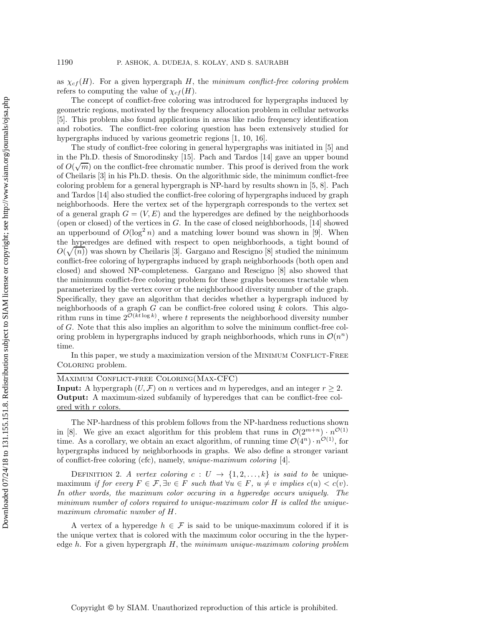as  $\chi_{cf}(H)$ . For a given hypergraph H, the *minimum conflict-free coloring problem* refers to computing the value of  $\chi_{cf}(H)$ .

The concept of conflict-free coloring was introduced for hypergraphs induced by geometric regions, motivated by the frequency allocation problem in cellular networks [\[5\]](#page-20-0). This problem also found applications in areas like radio frequency identification and robotics. The conflict-free coloring question has been extensively studied for hypergraphs induced by various geometric regions [\[1,](#page-20-1) [10,](#page-20-2) [16\]](#page-20-3).

The study of conflict-free coloring in general hypergraphs was initiated in [\[5\]](#page-20-0) and in the Ph.D. thesis of Smorodinsky [\[15\]](#page-20-4). Pach and Tardos [\[14\]](#page-20-5) gave an upper bound √of  $O(\sqrt{m})$  on the conflict-free chromatic number. This proof is derived from the work<br>of Cheilaris [3] in his Ph D thesis. On the algorithmic side, the minimum conflict-free of Cheilaris [\[3\]](#page-20-6) in his Ph.D. thesis. On the algorithmic side, the minimum conflict-free coloring problem for a general hypergraph is NP-hard by results shown in [\[5,](#page-20-0) [8\]](#page-20-7). Pach and Tardos [\[14\]](#page-20-5) also studied the conflict-free coloring of hypergraphs induced by graph neighborhoods. Here the vertex set of the hypergraph corresponds to the vertex set of a general graph  $G = (V, E)$  and the hyperedges are defined by the neighborhoods (open or closed) of the vertices in  $G$ . In the case of closed neighborhoods, [\[14\]](#page-20-5) showed an upperbound of  $O(\log^2 n)$  and a matching lower bound was shown in [\[9\]](#page-20-8). When<br>the hyperedges are defined with respect to open neighborhoods a tight bound of the hyperedges are defined with respect to open neighborhoods, a tight bound of  $O(\sqrt{n})$  was shown by Cheilaris [\[3\]](#page-20-6). Gargano and Rescigno [\[8\]](#page-20-7) studied the minimum<br>conflict-free coloring of hypergraphs induced by graph neighborhoods (both open and conflict-free coloring of hypergraphs induced by graph neighborhoods (both open and closed) and showed NP-completeness. Gargano and Rescigno [\[8\]](#page-20-7) also showed that the minimum conflict-free coloring problem for these graphs becomes tractable when parameterized by the vertex cover or the neighborhood diversity number of the graph. Specifically, they gave an algorithm that decides whether a hypergraph induced by neighborhoods of a graph  $G$  can be conflict-free colored using  $k$  colors. This algorithm runs in time  $2^{\mathcal{O}(kt \log k)}$ , where t represents the neighborhood diversity number of G. Note that this also implies an algorithm to solve the minimum conflict-free coloring problem in hypergraphs induced by graph neighborhoods, which runs in  $\mathcal{O}(n^n)$ time.

In this paper, we study a maximization version of the MINIMUM CONFLICT-FREE Coloring problem.

Maximum Conflict-free Coloring(Max-CFC)

**Input:** A hypergraph  $(U, \mathcal{F})$  on n vertices and m hyperedges, and an integer  $r \geq 2$ . **Output:** A maximum-sized subfamily of hyperedges that can be conflict-free colored with r colors.

The NP-hardness of this problem follows from the NP-hardness reductions shown in [\[8\]](#page-20-7). We give an exact algorithm for this problem that runs in  $\mathcal{O}(2^{m+n}) \cdot n^{\mathcal{O}(1)}$ time. As a corollary, we obtain an exact algorithm, of running time  $\mathcal{O}(4^n) \cdot n^{\mathcal{O}(1)}$ , for hypergraphs induced by neighborhoods in graphs. We also define a stronger variant of conflict-free coloring (cfc), namely, *unique-maximum coloring* [\[4\]](#page-20-9).

DEFINITION 2. *A vertex coloring*  $c: U \rightarrow \{1, 2, ..., k\}$  *is said to be* uniquemaximum *if for every*  $F \in \mathcal{F}, \exists v \in F$  *such that*  $\forall u \in F$ ,  $u \neq v$  *implies*  $c(u) < c(v)$ *. In other words, the maximum color occuring in a hyperedge occurs uniquely. The minimum number of colors required to unique-maximum color* H *is called the uniquemaximum chromatic number of* H*.*

A vertex of a hyperedge  $h \in \mathcal{F}$  is said to be unique-maximum colored if it is the unique vertex that is colored with the maximum color occuring in the the hyperedge h. For a given hypergraph H, the *minimum unique-maximum coloring problem*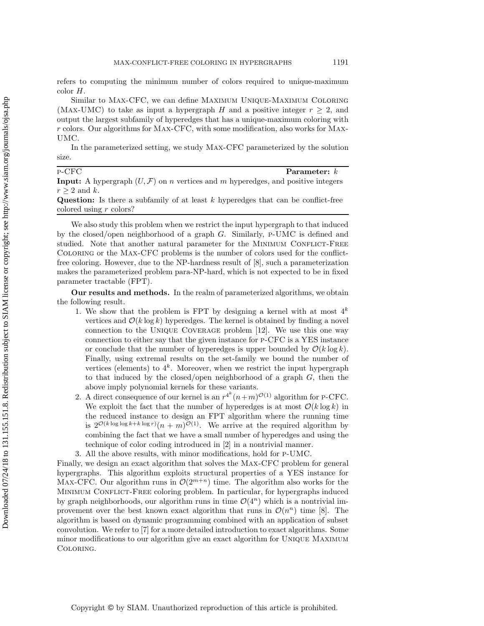refers to computing the minimum number of colors required to unique-maximum color H.

Similar to Max-CFC, we can define Maximum Unique-Maximum Coloring (MAX-UMC) to take as input a hypergraph H and a positive integer  $r \geq 2$ , and output the largest subfamily of hyperedges that has a unique-maximum coloring with r colors. Our algorithms for Max-CFC, with some modification, also works for Max-UMC.

In the parameterized setting, we study Max-CFC parameterized by the solution size.

# p-CFC **Parameter:** k<br>**Parameter:** k<br>**Parameter:** A hypergraph (*UE*) on *n* vertices and *m* hypergdges and positive integer

**Input:** A hypergraph  $(U, \mathcal{F})$  on *n* vertices and *m* hyperedges, and positive integers  $x > 2$  and *k*  $r \geq 2$  and k.

**Question:** Is there a subfamily of at least k hyperedges that can be conflict-free colored using r colors?

We also study this problem when we restrict the input hypergraph to that induced by the closed/open neighborhood of a graph G. Similarly, p-UMC is defined and studied. Note that another natural parameter for the MINIMUM CONFLICT-FREE Coloring or the Max-CFC problems is the number of colors used for the conflictfree coloring. However, due to the NP-hardness result of [\[8\]](#page-20-7), such a parameterization makes the parameterized problem para-NP-hard, which is not expected to be in fixed parameter tractable (FPT).

**Our results and methods.** In the realm of parameterized algorithms, we obtain the following result.

- 1. We show that the problem is FPT by designing a kernel with at most  $4^k$ vertices and  $\mathcal{O}(k \log k)$  hyperedges. The kernel is obtained by finding a novel connection to the Unique Coverage problem [\[12\]](#page-20-10). We use this one way connection to either say that the given instance for p-CFC is a YES instance or conclude that the number of hyperedges is upper bounded by  $\mathcal{O}(k \log k)$ . Finally, using extremal results on the set-family we bound the number of vertices (elements) to  $4^k$ . Moreover, when we restrict the input hypergraph to that induced by the closed/open neighborhood of a graph  $G$ , then the above imply polynomial kernels for these variants.
- 2. A direct consequence of our kernel is an  $r^{4k}(n+m)^{\mathcal{O}(1)}$  algorithm for P-CFC.<br>We exploit the fact that the number of hyperedges is at most  $\mathcal{O}(k \log k)$  in We exploit the fact that the number of hyperedges is at most  $\mathcal{O}(k \log k)$  in the reduced instance to design an FPT algorithm where the running time is  $2^{\mathcal{O}(k \log \log k + k \log r)}(n + m)^{\mathcal{O}(1)}$ . We arrive at the required algorithm by combining the fact that we have a small number of hyperedges and using the technique of color coding introduced in [\[2\]](#page-20-11) in a nontrivial manner.
- 3. All the above results, with minor modifications, hold for p-UMC.

Finally, we design an exact algorithm that solves the Max-CFC problem for general hypergraphs. This algorithm exploits structural properties of a YES instance for MAX-CFC. Our algorithm runs in  $\mathcal{O}(2^{m+n})$  time. The algorithm also works for the MINIMUM CONFLICT-FREE coloring problem. In particular, for hypergraphs induced by graph neighborhoods, our algorithm runs in time  $\mathcal{O}(4^n)$  which is a nontrivial improvement over the best known exact algorithm that runs in  $\mathcal{O}(n^n)$  time [\[8\]](#page-20-7). The algorithm is based on dynamic programming combined with an application of subset convolution. We refer to [\[7\]](#page-20-12) for a more detailed introduction to exact algorithms. Some minor modifications to our algorithm give an exact algorithm for Unique Maximum Coloring.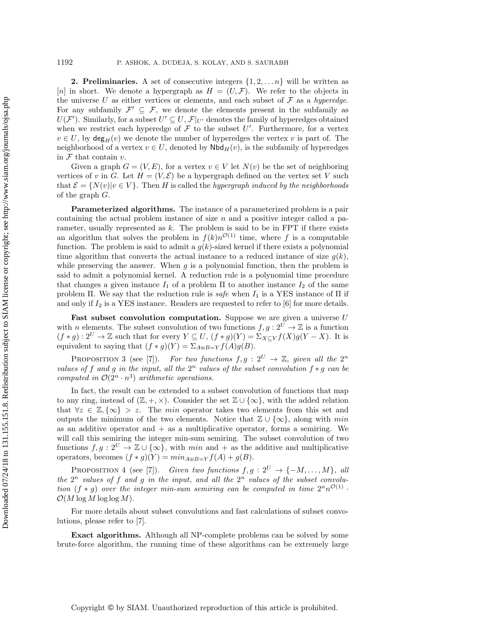**2. Preliminaries.** A set of consecutive integers  $\{1, 2, \ldots n\}$  will be written as [n] in short. We denote a hypergraph as  $H = (U, \mathcal{F})$ . We refer to the objects in the universe U as either vertices or elements, and each subset of  $\mathcal F$  as a *hyperedge*. For any subfamily  $\mathcal{F}' \subseteq \mathcal{F}$ , we denote the elements present in the subfamily as  $U(\mathcal{F}')$ . Similarly, for a subset  $U' \subseteq U$ ,  $\mathcal{F}|_{U'}$  denotes the family of hyperedges obtained<br>when we restrict each hyperedge of  $\mathcal{F}$  to the subset  $U'$ . Furthermore, for a vertex when we restrict each hyperedge of F to the subset U'. Furthermore, for a vertex  $v \in U$  by dec<sub>1</sub>(x) we denote the number of hyperedges the vertex  $v$  is part of The  $v \in U$ , by  $deg_H(v)$  we denote the number of hyperedges the vertex v is part of. The neighborhood of a vertex  $v \in U$ , denoted by  $\mathsf{Nbd}_H(v)$ , is the subfamily of hyperedges in  $\mathcal F$  that contain  $v$ .

Given a graph  $G = (V, E)$ , for a vertex  $v \in V$  let  $N(v)$  be the set of neighboring vertices of v in G. Let  $H = (V, \mathcal{E})$  be a hypergraph defined on the vertex set V such that  $\mathcal{E} = \{N(v)|v \in V\}$ . Then H is called the *hypergraph induced by the neighborhoods* of the graph G.

**Parameterized algorithms.** The instance of a parameterized problem is a pair containing the actual problem instance of size  $n$  and a positive integer called a parameter, usually represented as  $k$ . The problem is said to be in FPT if there exists an algorithm that solves the problem in  $f(k)n^{\mathcal{O}(1)}$  time, where f is a computable function. The problem is said to admit a  $g(k)$ -sized kernel if there exists a polynomial time algorithm that converts the actual instance to a reduced instance of size  $g(k)$ , while preserving the answer. When  $g$  is a polynomial function, then the problem is said to admit a polynomial kernel. A reduction rule is a polynomial time procedure that changes a given instance  $I_1$  of a problem  $\Pi$  to another instance  $I_2$  of the same problem  $\Pi$ . We say that the reduction rule is *safe* when  $I_1$  is a YES instance of  $\Pi$  if and only if  $I_2$  is a YES instance. Readers are requested to refer to [\[6\]](#page-20-13) for more details.

Fast subset convolution computation. Suppose we are given a universe U with n elements. The subset convolution of two functions  $f, g : 2^U \to \mathbb{Z}$  is a function  $(f * g): 2^U \to \mathbb{Z}$  such that for every  $Y \subseteq U$ ,  $(f * g)(Y) = \sum_{X \subseteq Y} f(X)g(Y - X)$ . It is equivalent to saying that  $(f * g)(Y) = \sum_{A \uplus B=Y} f(A)g(B)$ .

PROPOSITION 3 (see [\[7\]](#page-20-12)). *For two functions*  $f, g : 2^U \rightarrow \mathbb{Z}$ , given all the  $2^n$ *values of* f and g in the input, all the  $2^n$  *values of the subset convolution*  $f * g$  *can be computed in*  $\mathcal{O}(2^n \cdot n^3)$  *arithmetic operations.* 

In fact, the result can be extended to a subset convolution of functions that map to any ring, instead of  $(\mathbb{Z}, +, \times)$ . Consider the set  $\mathbb{Z} \cup {\infty}$ , with the added relation that  $\forall z \in \mathbb{Z}, \{\infty\} > z$ . The min operator takes two elements from this set and outputs the minimum of the two elements. Notice that  $\mathbb{Z} \cup {\{\infty\}}$ , along with min as an additive operator and  $+$  as a multiplicative operator, forms a semiring. We will call this semiring the integer min-sum semiring. The subset convolution of two functions  $f,g: 2^U \to \mathbb{Z} \cup {\infty}$ , with min and + as the additive and multiplicative operators, becomes  $(f * g)(Y) = min_{A \oplus B=Y} f(A) + g(B)$ .

<span id="page-4-0"></span>PROPOSITION 4 (see [\[7\]](#page-20-12)). *Given two functions*  $f, g : 2^U \to \{-M, \ldots, M\}$ , all the  $2^n$  values of f and q in the input, and all the  $2^n$  values of the subset convolu*tion* (f \* q) over the integer min-sum semiring can be computed in time  $2^n n^{\mathcal{O}(1)}$ .  $\mathcal{O}(M \log M \log \log M)$ .

For more details about subset convolutions and fast calculations of subset convolutions, please refer to [\[7\]](#page-20-12).

**Exact algorithms.** Although all NP-complete problems can be solved by some brute-force algorithm, the running time of these algorithms can be extremely large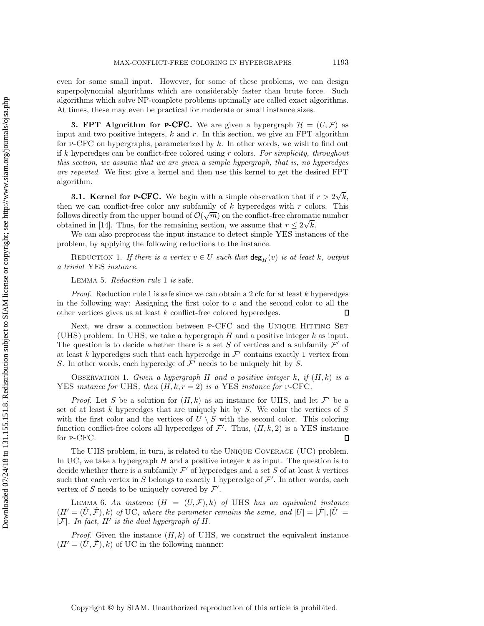even for some small input. However, for some of these problems, we can design superpolynomial algorithms which are considerably faster than brute force. Such algorithms which solve NP-complete problems optimally are called exact algorithms. At times, these may even be practical for moderate or small instance sizes.

**3. FPT Algorithm for <b>P-CFC**. We are given a hypergraph  $\mathcal{H} = (U, \mathcal{F})$  as input and two positive integers,  $k$  and  $r$ . In this section, we give an FPT algorithm for P-CFC on hypergraphs, parameterized by  $k$ . In other words, we wish to find out if k hyperedges can be conflict-free colored using r colors. *For simplicity, throughout this section, we assume that we are given a simple hypergraph, that is, no hyperedges are repeated.* We first give a kernel and then use this kernel to get the desired FPT algorithm.

**3.1. Kernel for <b>P-CFC**. We begin with a simple observation that if  $r > 2\sqrt{ }$  $\frac{k}{\cdot}$ then we can conflict-free color any subfamily of  $k$  hyperedges with  $r$  colors. This follows directly from the upper bound of  $\mathcal{O}(\sqrt{m})$  on the conflict-free chromatic number<br>obtained in [14]. Thus, for the remaining section, we assume that  $r < 2\sqrt{k}$ obtained in [\[14\]](#page-20-5). Thus, for the remaining section, we assume that  $r \leq 2\sqrt{k}$ .<br>We can also preprocess the input instance to detect simple VES instant

<span id="page-5-0"></span>We can also preprocess the input instance to detect simple YES instances of the problem, by applying the following reductions to the instance.

REDUCTION 1. If there is a vertex  $v \in U$  such that  $\deg_H(v)$  is at least k, output *a trivial* YES *instance.*

Lemma 5. *Reduction rule* [1](#page-5-0) *is* safe*.*

*Proof.* Reduction rule [1](#page-5-0) is safe since we can obtain a 2 cfc for at least k hyperedges in the following way: Assigning the first color to v and the second color to all the other vertices gives us at least  $k$  conflict-free colored hyperedges. other vertices gives us at least k conflict-free colored hyperedges.

Next, we draw a connection between P-CFC and the UNIQUE HITTING SET (UHS) problem. In UHS, we take a hypergraph  $H$  and a positive integer  $k$  as input. The question is to decide whether there is a set S of vertices and a subfamily  $\mathcal{F}'$  of at least k hyperedges such that each hyperedge in  $\mathcal{F}'$  contains exactly 1 vertex from S. In other words, each hyperedge of  $\mathcal{F}'$  needs to be uniquely hit by S.

<span id="page-5-2"></span>Observation 1. *Given a hypergraph* H *and a positive integer* k*, if* (H, k) *is a* YES *instance for* UHS, then  $(H, k, r = 2)$  *is a* YES *instance for* P-CFC.

*Proof.* Let S be a solution for  $(H, k)$  as an instance for UHS, and let  $\mathcal{F}'$  be a set of at least  $k$  hyperedges that are uniquely hit by  $S$ . We color the vertices of  $S$ with the first color and the vertices of  $U \setminus S$  with the second color. This coloring function conflict-free colors all hyperedges of  $\mathcal{F}'$ . Thus,  $(H, k, 2)$  is a YES instance<br>for P-CEC for p-CFC.

The UHS problem, in turn, is related to the Unique Coverage (UC) problem. In UC, we take a hypergraph  $H$  and a positive integer  $k$  as input. The question is to decide whether there is a subfamily  $\mathcal{F}'$  of hyperedges and a set S of at least k vertices such that each vertex in S belongs to exactly 1 hyperedge of  $\mathcal{F}'$ . In other words, each vertex of S needs to be uniquely covered by  $\mathcal{F}'$ vertex of S needs to be uniquely covered by  $\mathcal{F}'$ .

<span id="page-5-1"></span>LEMMA 6. An instance  $(H = (U, \mathcal{F}), k)$  of UHS has an equivalent instance  $(H' = (\hat{U}, \hat{\mathcal{F}}), k)$  of UC, where the parameter remains the same, and  $|U| = |\hat{\mathcal{F}}|, |\hat{U}| =$  $|\mathcal{F}|$ *. In fact,*  $H'$  *is the dual hypergraph of*  $H$ *.* 

*Proof.* Given the instance  $(H, k)$  of UHS, we construct the equivalent instance  $(H' = (\tilde{U}, \tilde{\mathcal{F}}), k)$  of UC in the following manner: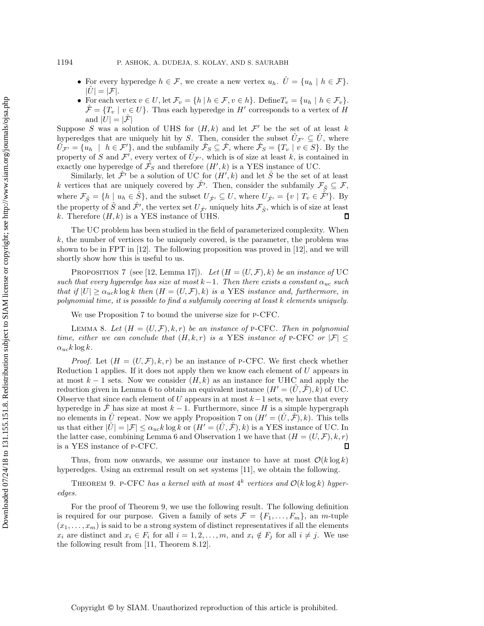- For every hyperedge  $h \in \mathcal{F}$ , we create a new vertex  $u_h$ .  $\hat{U} = \{u_h \mid h \in \mathcal{F}\}\.$  $|U|=|\mathcal{F}|.$
- For each vertex  $v \in U$ , let  $\mathcal{F}_v = \{h \mid h \in \mathcal{F}, v \in h\}$ . Define  $T_v = \{u_h \mid h \in \mathcal{F}_v\}$ .  $\mathcal{F} = \{T_v \mid v \in U\}$ . Thus each hyperedge in H' corresponds to a vertex of H and  $|U| = |\mathcal{F}|$

Suppose S was a solution of UHS for  $(H, k)$  and let  $\mathcal{F}'$  be the set of at least k hyperedges that are uniquely hit by S. Then, consider the subset  $\hat{U}_{\mathcal{F}} \subseteq \hat{U}$ , where  $\hat{U}_{\mathcal{F}} = \hat{U}$ ,  $\hat{U}_{\mathcal{F}} = \hat{U}$ ,  $\hat{U}_{\mathcal{F}} = \hat{U}$ ,  $\hat{U}_{\mathcal{F}} = \hat{U}$ ,  $\hat{U}_{\mathcal{F}} = \hat{U}$ ,  $\hat{U}_{\mathcal{F}} = \hat{U}$ ,  $\$  $\hat{U}_{\mathcal{F}'} = \{u_h \mid h \in \mathcal{F}'\}$ , and the subfamily  $\hat{\mathcal{F}}_S \subseteq \hat{\mathcal{F}}$ , where  $\hat{\mathcal{F}}_S = \{T_v \mid v \in S\}$ . By the property of S and  $\mathcal{F}^f$ , every vertex of  $\hat{U}_{\mathcal{F}'}$ , which is of size at least k, is contained in exactly one hyperedge of  $\hat{E}_c$  and therefore  $(H' | k)$  is a VES instance of UC exactly one hyperedge of  $\hat{\mathcal{F}}_S$  and therefore  $(H', k)$  is a YES instance of UC.<br>Similarly let  $\hat{\mathcal{F}}'$  be a solution of UC for  $(H' | k)$  and let  $\hat{S}$  be the set of

Similarly, let  $\hat{\mathcal{F}}'$  be a solution of UC for  $(H',k)$  and let  $\hat{S}$  be the set of at least<br>retices that are uniquely covered by  $\hat{\mathcal{F}}'$ . Then, consider the subfamily  $\mathcal{F}_S \subset \mathcal{F}$ . k vertices that are uniquely covered by  $\hat{\mathcal{F}}'$ . Then, consider the subfamily  $\mathcal{F}_{\hat{S}} \subseteq \mathcal{F}$ ,<br>where  $\mathcal{F}_{S} = \begin{bmatrix} k & | & x & \hat{C} \\ y & \hat{c} & q \end{bmatrix}$  and the subset  $U = \mathcal{F}_{S} U$  where  $U = \begin{bmatrix} u & | & T & \hat{C} \\ x & y & \hat{c}$ where  $\mathcal{F}_{\hat{S}} = \{h \mid u_h \in \hat{S}\}$ , and the subset  $U_{\hat{\mathcal{F}}'} \subseteq U$ , where  $U_{\hat{\mathcal{F}}'} = \{v \mid T_v \in \hat{\mathcal{F}}'\}$ . By the property of  $\hat{S}$  and  $\hat{\mathcal{F}}'$ , the vertex set  $U_{\hat{\mathcal{F}}'}$  uniquely hits  $\mathcal{F}_{\hat{S}}$ , which is of size at least  $k$ . Therefore  $(H, k)$  is a VES instance of UHS k. Therefore  $(H, k)$  is a YES instance of UHS.

The UC problem has been studied in the field of parameterized complexity. When  $k$ , the number of vertices to be uniquely covered, is the parameter, the problem was shown to be in FPT in [\[12\]](#page-20-10). The following proposition was proved in [\[12\]](#page-20-10), and we will shortly show how this is useful to us.

<span id="page-6-0"></span>PROPOSITION 7 (see [\[12,](#page-20-10) Lemma 17]). Let  $(H = (U, \mathcal{F}), k)$  be an instance of UC *such that every hyperedge has size at most*  $k-1$ *. Then there exists a constant*  $\alpha_{uc}$  *such that if*  $|U| \ge \alpha_{uc} k \log k$  *then*  $(H = (U, \mathcal{F}), k)$  *is a* YES *instance and, furthermore, in polynomial time, it is possible to find a subfamily covering at least* k *elements uniquely.*

We use Proposition [7](#page-6-0) to bound the universe size for p-CFC.

<span id="page-6-2"></span>LEMMA 8. Let  $(H = (U, \mathcal{F}), k, r)$  be an instance of P-CFC. Then in polynomial *time, either we can conclude that*  $(H, k, r)$  *is a* YES *instance of* P-CFC *or*  $|\mathcal{F}| \leq$  $\alpha_{uc}k\log k$ .

*Proof.* Let  $(H = (U, \mathcal{F}), k, r)$  be an instance of P-CFC. We first check whether Reduction [1](#page-5-0) applies. If it does not apply then we know each element of U appears in at most  $k-1$  sets. Now we consider  $(H, k)$  as an instance for UHC and apply the reduction given in Lemma [6](#page-5-1) to obtain an equivalent instance  $(H' = (U, \mathcal{F}), k)$  of UC. Observe that since each element of U appears in at most  $k-1$  sets, we have that every hyperedge in  $\hat{\mathcal{F}}$  has size at most  $k-1$ . Furthermore, since H is a simple hypergraph no elements in  $\hat{U}$  repeat. Now we apply Proposition [7](#page-6-0) on  $(H' = (\hat{U}, \hat{\mathcal{F}}), k)$ . This tells us that either  $|\tilde{U}| = |\mathcal{F}| \leq \alpha_{uc} k \log k$  or  $(H' = (\tilde{U}, \tilde{\mathcal{F}}), k)$  is a YES instance of UC. In the latter case, combining Lemma [6](#page-5-1) and Observation [1](#page-5-2) we have that  $(H = (U, \mathcal{F}), k, r)$  is a YES instance of P-CFC. is a YES instance of p-CFC.

<span id="page-6-1"></span>Thus, from now onwards, we assume our instance to have at most  $\mathcal{O}(k \log k)$ hyperedges. Using an extremal result on set systems [\[11\]](#page-20-14), we obtain the following.

THEOREM 9. P-CFC has a kernel with at most  $4^k$  vertices and  $\mathcal{O}(k \log k)$  hyper*edges.*

For the proof of Theorem [9,](#page-6-1) we use the following result. The following definition is required for our purpose. Given a family of sets  $\mathcal{F} = \{F_1, \ldots, F_m\}$ , an *m*-tuple  $(x_1,...,x_m)$  is said to be a strong system of distinct representatives if all the elements  $x_i$  are distinct and  $x_i \in F_i$  for all  $i = 1, 2, ..., m$ , and  $x_i \notin F_j$  for all  $i \neq j$ . We use the following result from [\[11,](#page-20-14) Theorem 8.12].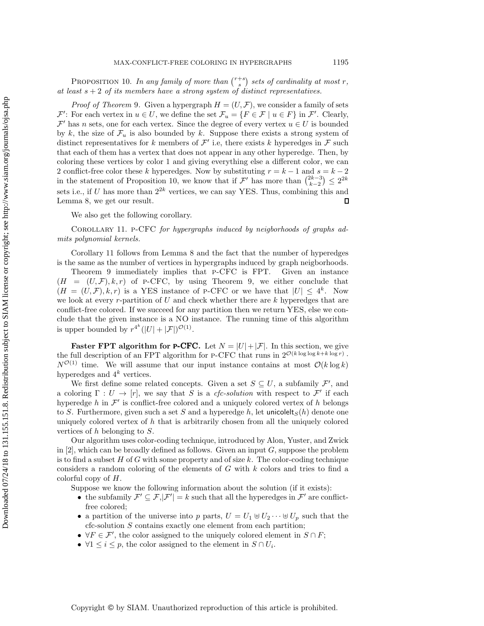<span id="page-7-0"></span>PROPOSITION 10. In any family of more than  $\binom{r+s}{s}$  sets of cardinality at most r, east  $s + 2$  of its members have a strong system of distinct representatives *at least* s + 2 *of its members have a strong system of distinct representatives.*

*Proof of Theorem* [9](#page-6-1). Given a hypergraph  $H = (U, \mathcal{F})$ , we consider a family of sets  $\mathcal{F}'$ : For each vertex in  $u \in U$ , we define the set  $\mathcal{F}_u = \{F \in \mathcal{F} \mid u \in F\}$  in  $\mathcal{F}'$ . Clearly,<br> $\mathcal{F}'$  has n sets, one for each vertex. Since the degree of every vertex  $u \in U$  is bounded  $\mathcal{F}'$  has n sets, one for each vertex. Since the degree of every vertex  $u \in U$  is bounded by k, the size of  $\mathcal{F}_u$  is also bounded by k. Suppose there exists a strong system of distinct representatives for k members of  $\mathcal{F}'$  i.e, there exists k hyperedges in  $\mathcal{F}$  such that each of them has a vertex that does not appear in any other hyperedge. Then, by coloring these vertices by color 1 and giving everything else a different color, we can 2 conflict-free color these k hyperedges. Now by substituting  $r = k - 1$  and  $s = k - 2$ in the statement of Proposition [10,](#page-7-0) we know that if  $\mathcal{F}'$  has more than  $\binom{2k-3}{k-2}$  ≤  $2^{2k}$ sets i.e., if U has more than  $2^{2k}$  vertices, we can say YES. Thus, combining this and<br>Lemma 8, we get our result Lemma [8,](#page-6-2) we get our result.

We also get the following corollary.

<span id="page-7-1"></span>Corollary 11. p-CFC *for hypergraphs induced by neigborhoods of graphs admits polynomial kernels.*

Corollary [11](#page-7-1) follows from Lemma [8](#page-6-2) and the fact that the number of hyperedges is the same as the number of vertices in hypergraphs induced by graph neigborhoods.

Theorem [9](#page-6-1) immediately implies that p-CFC is FPT. Given an instance  $(H = (U, \mathcal{F}), k, r)$  of p-CFC, by using Theorem [9,](#page-6-1) we either conclude that  $(H = (U, \mathcal{F}), k, r)$  is a YES instance of P-CFC or we have that  $|U| \leq 4^k$ . Now we look at every  $r$ -partition of  $U$  and check whether there are  $k$  hyperedges that are conflict-free colored. If we succeed for any partition then we return YES, else we conclude that the given instance is a NO instance. The running time of this algorithm is upper bounded by  $r^{4^k}(|U| + |\mathcal{F}|)^{\mathcal{O}(1)}$ .

**Faster FPT algorithm for <b>P-CFC**. Let  $N = |U| + |\mathcal{F}|$ . In this section, we give the full description of an FPT algorithm for P-CFC that runs in  $2^{\mathcal{O}(k \log \log k + k \log r)}$ .  $N^{\mathcal{O}(1)}$  time. We will assume that our input instance contains at most  $\mathcal{O}(k \log k)$ hyperedges and  $4^k$  vertices.

We first define some related concepts. Given a set  $S \subseteq U$ , a subfamily  $\mathcal{F}'$ , and loring  $\Gamma : U \to [r]$  we say that S is a cfc-solution with respect to  $\mathcal{F}'$  if each a coloring  $\Gamma: U \to [r]$ , we say that S is a *cfc-solution* with respect to F' if each hyperedge h in  $\mathcal{F}'$  is conflict-free colored and a uniquely colored vertex of h belongs to S. Furthermore, given such a set S and a hyperedge h, let unicolelt $_S(h)$  denote one uniquely colored vertex of h that is arbitrarily chosen from all the uniquely colored vertices of h belonging to S.

Our algorithm uses color-coding technique, introduced by Alon, Yuster, and Zwick in  $[2]$ , which can be broadly defined as follows. Given an input G, suppose the problem is to find a subset H of G with some property and of size  $k$ . The color-coding technique considers a random coloring of the elements of  $G$  with  $k$  colors and tries to find a colorful copy of H.

Suppose we know the following information about the solution (if it exists):

- the subfamily  $\mathcal{F}' \subseteq \mathcal{F}, |\mathcal{F}'| = k$  such that all the hyperedges in  $\mathcal{F}'$  are conflict-<br>free colored: free colored;
- a partition of the universe into p parts,  $U = U_1 \oplus U_2 \cdots \oplus U_p$  such that the cfc-solution S contains exactly one element from each partition;
- $\forall F \in \mathcal{F}'$ , the color assigned to the uniquely colored element in  $S \cap F$ ;
- $\forall 1 \leq i \leq p$ , the color assigned to the element in  $S \cap U_i$ .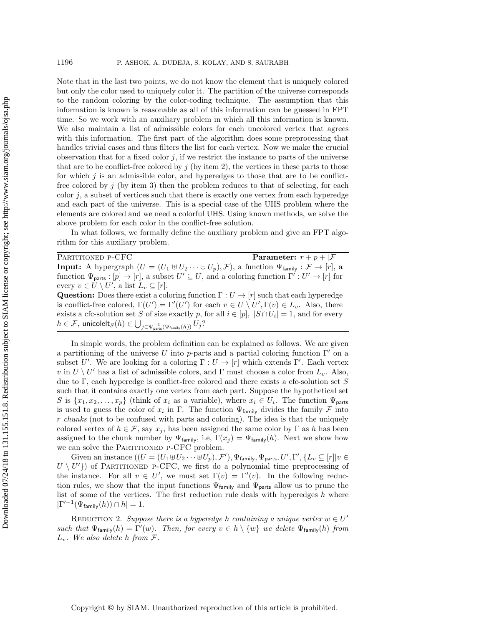Note that in the last two points, we do not know the element that is uniquely colored but only the color used to uniquely color it. The partition of the universe corresponds to the random coloring by the color-coding technique. The assumption that this information is known is reasonable as all of this information can be guessed in FPT time. So we work with an auxiliary problem in which all this information is known. We also maintain a list of admissible colors for each uncolored vertex that agrees with this information. The first part of the algorithm does some preprocessing that handles trivial cases and thus filters the list for each vertex. Now we make the crucial observation that for a fixed color  $j$ , if we restrict the instance to parts of the universe that are to be conflict-free colored by  $j$  (by item 2), the vertices in these parts to those for which  $j$  is an admissible color, and hyperedges to those that are to be conflictfree colored by  $j$  (by item 3) then the problem reduces to that of selecting, for each color  $j$ , a subset of vertices such that there is exactly one vertex from each hyperedge and each part of the universe. This is a special case of the UHS problem where the elements are colored and we need a colorful UHS. Using known methods, we solve the above problem for each color in the conflict-free solution.

In what follows, we formally define the auxiliary problem and give an FPT algorithm for this auxiliary problem.

| PARTITIONED P-CFC                                                                                                                                | <b>Parameter:</b> $r + p +  \mathcal{F} $ |
|--------------------------------------------------------------------------------------------------------------------------------------------------|-------------------------------------------|
| <b>Input:</b> A hypergraph $(U = (U_1 \oplus U_2 \cdots \oplus U_p), \mathcal{F})$ , a function $\Psi_{\text{family}} : \mathcal{F} \to [r]$ , a |                                           |
| function $\Psi_{\text{parts}} : [p] \to [r]$ , a subset $U' \subseteq U$ , and a coloring function $\Gamma' : U' \to [r]$ for                    |                                           |
| every $v \in U \setminus U'$ , a list $L_v \subseteq [r]$ .                                                                                      |                                           |
| <b>Question:</b> Does there exist a coloring function $\Gamma: U \to [r]$ such that each hyperedge                                               |                                           |
| is conflict-free colored, $\Gamma(U') = \Gamma'(U')$ for each $v \in U \setminus U', \Gamma(v) \in L_v$ . Also, there                            |                                           |
| exists a cfc-solution set S of size exactly p, for all $i \in [p]$ , $ S \cap U_i  = 1$ , and for every                                          |                                           |
| $h\in\mathcal{F},\,\text{unicolelt}_S(h)\in\bigcup_{j\in\Psi_\text{parts}^{-1}(\Psi_\text{family}(h))}U_j?$                                      |                                           |
|                                                                                                                                                  |                                           |

In simple words, the problem definition can be explained as follows. We are given a partitioning of the universe U into p-parts and a partial coloring function  $\Gamma'$  on a subset U'. We are looking for a coloring  $\Gamma: U \to [r]$  which extends  $\Gamma'$ . Each vertex<br>win  $U \setminus U'$  has a list of admissible colors, and  $\Gamma$  must choose a color from L. Also v in  $U \setminus U'$  has a list of admissible colors, and Γ must choose a color from  $L_v$ . Also, due to Γ, each hyperedge is conflict-free colored and there exists a cfc-solution set  $S$ such that it contains exactly one vertex from each part. Suppose the hypothetical set S is  $\{x_1, x_2, \ldots, x_p\}$  (think of  $x_i$  as a variable), where  $x_i \in U_i$ . The function  $\Psi_{\text{parts}}$ is used to guess the color of  $x_i$  in Γ. The function  $\Psi_{\text{family}}$  divides the family F into r *chunks* (not to be confused with parts and coloring). The idea is that the uniquely colored vertex of  $h \in \mathcal{F}$ , say  $x_j$ , has been assigned the same color by  $\Gamma$  as h has been assigned to the chunk number by  $\Psi_{\text{family}}$ , i.e,  $\Gamma(x_j) = \Psi_{\text{family}}(h)$ . Next we show how we can solve the PARTITIONED P-CFC problem.

Given an instance  $((U = (U_1 \oplus U_2 \cdots \oplus U_p), \mathcal{F}'), \Psi_{\text{family}}, \Psi_{\text{parts}}, U', \Gamma', \{L_v \subseteq [r] | v \in$ <br> $U^{(1)}$ ) of PARTITIONED P-CEC, we first do a polynomial time preprocessing of  $U \setminus U'$  of PARTITIONED P-CFC, we first do a polynomial time preprocessing of the instance. For all  $v \in U'$  we must set  $\Gamma(v) = \Gamma'(v)$ . In the following reducthe instance. For all  $v \in U'$ , we must set  $\Gamma(v) = \Gamma'(v)$ . In the following reduc-<br>tion rules we show that the input functions  $\Psi_{\epsilon}$  and  $\Psi_{\epsilon}$  allow us to prune the tion rules, we show that the input functions  $\Psi_{\text{family}}$  and  $\Psi_{\text{parts}}$  allow us to prune the list of some of the vertices. The first reduction rule deals with hyperedges  $h$  where  $|\Gamma'^{-1}(\Psi_{\text{family}}(h)) \cap h| = 1.$ 

<span id="page-8-0"></span>REDUCTION 2. Suppose there is a hyperedge h containing a unique vertex  $w \in U'$ *such that*  $\Psi_{\text{family}}(h) = \Gamma'(w)$ *. Then, for every*  $v \in h \setminus \{w\}$  *we delete*  $\Psi_{\text{family}}(h)$  *from*  $\Gamma$ <sup>L</sup><sup>v</sup>*. We also delete* h *from* <sup>F</sup>*.*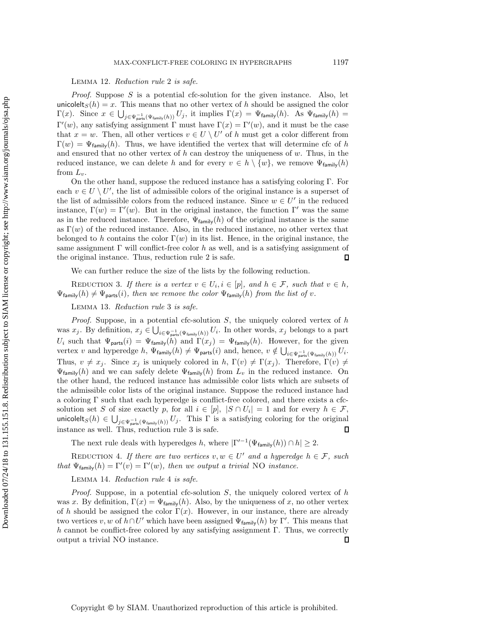Lemma 12. *Reduction rule* [2](#page-8-0) *is safe.*

*Proof.* Suppose S is a potential cfc-solution for the given instance. Also, let unicolelt<sub>S</sub>(h) = x. This means that no other vertex of h should be assigned the color  $\Gamma(x)$ . Since  $x \in \bigcup_{j \in \Psi_{\text{parts}}^{-1}(\Psi_{\text{family}}(h))} U_j$ , it implies  $\Gamma(x) = \Psi_{\text{family}}(h)$ . As  $\Psi_{\text{family}}(h) = \Gamma(x)$  $\Gamma'(w)$ , any satisfying assignment Γ must have  $\Gamma(x) = \Gamma'(w)$ , and it must be the case<br>that  $x = w$ . Then all other vertices  $v \in I \setminus U'$  of h must get a color different from that  $x = w$ . Then, all other vertices  $v \in U \setminus U'$  of h must get a color different from  $\Gamma(w)=\Psi_{\text{family}}(h)$ . Thus, we have identified the vertex that will determine cfc of h and ensured that no other vertex of  $h$  can destroy the uniqueness of  $w$ . Thus, in the reduced instance, we can delete h and for every  $v \in h \setminus \{w\}$ , we remove  $\Psi_{\text{family}}(h)$ from  $L_v$ .

On the other hand, suppose the reduced instance has a satisfying coloring Γ. For each  $v \in U \setminus U'$ , the list of admissible colors of the original instance is a superset of the list of admissible colors from the reduced instance. Since  $w \in U'$  in the reduced the list of admissible colors from the reduced instance. Since  $w \in U'$  in the reduced instance,  $\Gamma(w) = \Gamma'(w)$ . But in the original instance, the function  $\Gamma'$  was the same<br>as in the reduced instance. Therefore,  $\Psi_{k}$ ,  $\Gamma(k)$  of the original instance is the same as in the reduced instance. Therefore,  $\Psi_{\text{family}}(h)$  of the original instance is the same as  $\Gamma(w)$  of the reduced instance. Also, in the reduced instance, no other vertex that belonged to h contains the color  $\Gamma(w)$  in its list. Hence, in the original instance, the same assignment Γ will conflict-free color h as well, and is a satisfying assignment of the original instance. Thus, reduction rule 2 is safe. the original instance. Thus, reduction rule [2](#page-8-0) is safe.

We can further reduce the size of the lists by the following reduction.

<span id="page-9-0"></span>REDUCTION 3. If there is a vertex  $v \in U_i, i \in [p]$ , and  $h \in \mathcal{F}$ , such that  $v \in h$ ,  $\Psi_{\text{family}}(h) \neq \Psi_{\text{parts}}(i)$ , then we remove the color  $\Psi_{\text{family}}(h)$  from the list of v.

Lemma 13. *Reduction rule* [3](#page-9-0) *is safe.*

*Proof.* Suppose, in a potential cfc-solution S, the uniquely colored vertex of h was  $x_j$ . By definition,  $x_j \in \bigcup_{i \in \Psi_{\text{pants}}(\Psi_{\text{family}}(h))} U_i$ . In other words,  $x_j$  belongs to a part  $U_i$  such that  $\Psi_{\text{parts}}(i)=\Psi_{\text{family}}(h)$  and  $\Gamma(x_j )=\Psi_{\text{family}}(h)$ . However, for the given vertex v and hyperedge  $h, \Psi_{\text{family}}(h) \neq \Psi_{\text{parts}}(i)$  and, hence,  $v \notin \bigcup_{i \in \Psi_{\text{parts}}^{-1}(\Psi_{\text{family}}(h))} U_i$ . Thus,  $v \neq x_j$ . Since  $x_j$  is uniquely colored in h,  $\Gamma(v) \neq \Gamma(x_j)$ . Therefore,  $\Gamma(v) \neq$  $\Psi_{\text{family}}(h)$  and we can safely delete  $\Psi_{\text{family}}(h)$  from  $L_v$  in the reduced instance. On the other hand, the reduced instance has admissible color lists which are subsets of the admissible color lists of the original instance. Suppose the reduced instance had a coloring  $\Gamma$  such that each hyperedge is conflict-free colored, and there exists a cfcsolution set S of size exactly p, for all  $i \in [p]$ ,  $|S \cap U_i| = 1$  and for every  $h \in \mathcal{F}$ , unicolelt<sub>S</sub>(h)  $\in \bigcup_{j\in \Psi_{\text{parity}}^{-1}(V_{\text{family}}(h))} U_j$ . This  $\Gamma$  is a satisfying coloring for the original instance as well. Thus, reduction rule [3](#page-9-0) is safe.

The next rule deals with hyperedges h, where  $|\Gamma'^{-1}(\Psi_{\text{family}}(h)) \cap h| \geq 2$ .

<span id="page-9-1"></span>REDUCTION 4. If there are two vertices  $v, w \in U'$  and a hyperedge  $h \in \mathcal{F}$ , such *that*  $\Psi_{\text{family}}(h) = \Gamma'(v) = \Gamma'(w)$ *, then we output a trivial* NO *instance.* 

#### Lemma 14. *Reduction rule* [4](#page-9-1) *is safe.*

<span id="page-9-2"></span>*Proof.* Suppose, in a potential cfc-solution S, the uniquely colored vertex of h was x. By definition,  $\Gamma(x)=\Psi_{\text{family}}(h)$ . Also, by the uniqueness of x, no other vertex of h should be assigned the color  $\Gamma(x)$ . However, in our instance, there are already two vertices  $v, w$  of  $h \cap U'$  which have been assigned  $\Psi_{\text{family}}(h)$  by Γ'. This means that  $h$  cannot be conflict-free colored by any satisfying assignment  $\Gamma$ . Thus, we correctly h cannot be conflict-free colored by any satisfying assignment Γ. Thus, we correctly output a trivial NO instance. output a trivial NO instance.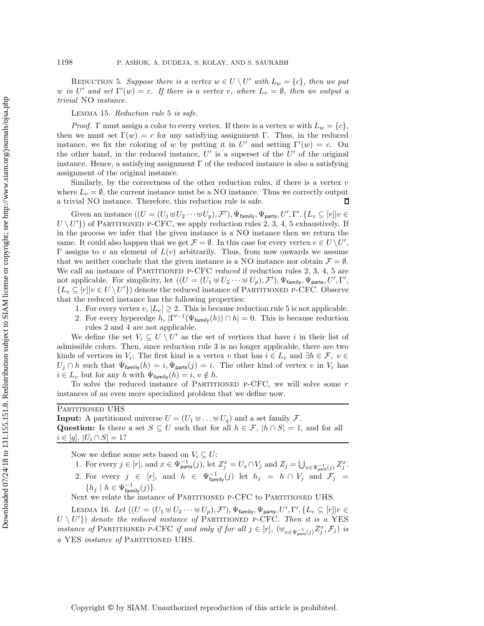REDUCTION 5. Suppose there is a vertex  $w \in U \setminus U'$  with  $L_w = \{c\}$ , then we put w in U' and set  $\Gamma'(w) = c$ . If there is a vertex v, where  $L_v = \emptyset$ , then we output a<br>trivial NO instance *trivial* NO *instance.*

Lemma 15. *Reduction rule* [5](#page-9-2) *is safe.*

*Proof.* Γ must assign a color to every vertex. If there is a vertex w with  $L_w = \{c\}$ , then we must set  $\Gamma(w) = c$  for any satisfying assignment Γ. Thus, in the reduced instance, we fix the coloring of w by putting it in  $U'$  and setting  $\Gamma'(w) = c$ . On<br>the other hand, in the reduced instance  $U'$  is a superset of the  $U'$  of the original the other hand, in the reduced instance,  $U'$  is a superset of the  $U'$  of the original instance. Hence, a satisfying assignment  $\Gamma$  of the reduced instance is also a satisfying assignment of the original instance.

Similarly, by the correctness of the other reduction rules, if there is a vertex  $v$ where  $L_v = \emptyset$ , the current instance must be a NO instance. Thus we correctly output a trivial NO instance. Therefore, this reduction rule is safe. a trivial NO instance. Therefore, this reduction rule is safe.

Given an instance  $((U = (U_1 \oplus U_2 \cdots \oplus U_p), \mathcal{F}'), \Psi_{\text{family}}, \Psi_{\text{parts}}, U', \Gamma', \{L_v \subseteq [r] | v \in$ <br> $U^{(1)}$  of PARTITONED P-CEC, we apply reduction rules 2, 3, 4, 5 exhaustively. If  $U \setminus U'$  of PARTITIONED P-CFC, we apply reduction rules [2,](#page-8-0) [3,](#page-9-0) [4,](#page-9-1) [5](#page-9-2) exhaustively. If in the process we infer that the given instance is a NO instance then we return the in the process we infer that the given instance is a NO instance then we return the same. It could also happen that we get  $\mathcal{F} = \emptyset$ . In this case for every vertex  $v \in U \setminus U'$ ,<br>Figures to v an element of  $L(v)$  arbitrarily. Thus, from now onwards we assume Γ assigns to v an element of  $L(v)$  arbitrarily. Thus, from now onwards we assume that we neither conclude that the given instance is a NO instance nor obtain  $\mathcal{F} = \emptyset$ . We call an instance of PARTITIONED P-CFC *reduced* if reduction rules [2,](#page-8-0) [3,](#page-9-0) [4,](#page-9-1) [5](#page-9-2) are not applicable. For simplicity, let  $((U = (U_1 \oplus U_2 \cdots \oplus U_p), \mathcal{F}'), \Psi_{\text{family}}, \Psi_{\text{parts}}, U', \Gamma')$ <br>*L*  $\subset [r]_{U} \in U \setminus U'$  denote the reduced instance of PARTITIONED P-CEC. Observe  ${L_v \subseteq [r] | v \in U \setminus U'}$  denote the reduced instance of PARTITIONED P-CFC. Observe that the reduced instance has the following properties:

- 1. For every vertex  $v, |L_v| \geq 2$ . This is because reduction rule [5](#page-9-2) is not applicable.
- 2. For every hyperedge h,  $|\Gamma'^{-1}(\Psi_{\text{family}}(h)) \cap h| = 0$ . This is because reduction rules [2](#page-8-0) and [4](#page-9-1) are not applicable.

We define the set  $V_i \subseteq U \setminus U'$  as the set of vertices that have i in their list of admissible colors. Then, since reduction rule [3](#page-9-0) is no longer applicable, there are two kinds of vertices in  $V_i$ : The first kind is a vertex v that has  $i \in L_v$  and  $\exists h \in \mathcal{F}, v \in$  $U_j \cap h$  such that  $\Psi_{\text{family}}(h) = i, \Psi_{\text{parts}}(j) = i$ . The other kind of vertex v in  $V_i$  has  $i \in L_v$  but for any h with  $\Psi_{\text{family}}(h) = i, v \notin h$ .

To solve the reduced instance of PARTITIONED P-CFC, we will solve some  $r$ instances of an even more specialized problem that we define now.

### PARTITIONED UHS

**Input:** A partitioned universe  $U = (U_1 \oplus \ldots \oplus U_q)$  and a set family F. **Question:** Is there a set  $S \subseteq U$  such that for all  $h \in \mathcal{F}$ ,  $|h \cap S| = 1$ , and for all  $i \in [q], |U_i \cap S| = 1?$ 

Now we define some sets based on  $V_i \subseteq U$ :

1. For every  $j \in [r]$ , and  $x \in \Psi_{\text{parts}}^{-1}(j)$ , let  $Z_j^x = U_x \cap V_j$  and  $Z_j = \bigcup_{x \in \Psi_{\text{parts}}^{-1}(j)} Z_j^x$ . 2. For every  $j \in [r]$ , and  $h \in \Psi_{\text{family}}^{-1}(j)$  let  $h_j = h \cap V_j$  and  $\mathcal{F}_j =$  $\{h_j \mid h \in \Psi_{\text{family}}^{-1}(j)\}.$ <br>t we relate the instar

Next we relate the instance of PARTITIONED P-CFC to PARTITIONED UHS.

<span id="page-10-0"></span>LEMMA 16. Let  $((U = (U_1 \oplus U_2 \cdots \oplus U_p), \mathcal{F}'), \Psi_{\text{family}}, \Psi_{\text{parts}}, U', \Gamma', \{L_v \subseteq [r] | v \in$ <br> $U^{(1)}$ , denote the reduced instance of PARTITIONED P-CEC. Then it is a VES  $U \setminus U'$  denote the reduced instance of PARTITIONED P-CFC. Then it is a YES<br>instance of PARTITIONED P-CFC if and only if for all  $i \in [r]$  ( $\uparrow\downarrow$ *instance of* PARTITIONED P-CFC *if and only if for all*  $j \in [r]$ ,  $(\biguplus_{x \in \Psi_{\text{parts}}^{-1}(j)} Z_j^x, \mathcal{F}_j)$  *is*<br>e. XES *instance* of PARTITIONED HILE *a* YES *instance of* Partitioned UHS*.*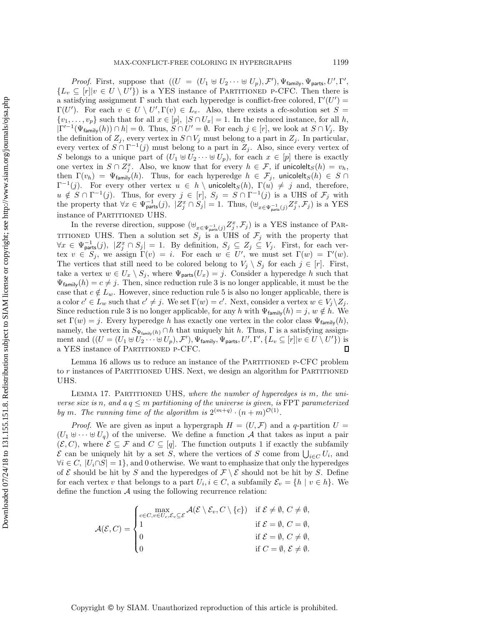*Proof.* First, suppose that  $((U = (U_1 \oplus U_2 \cdots \oplus U_p), \mathcal{F}'), \Psi_{\text{family}}, \Psi_{\text{parts}}, U', \Gamma' \subset [r]_U \subset I \cap I'$  is a VES instance of PARTITIONED P-CEC. Then there is  ${L_v \subseteq [r] \cup \in U \setminus U'}$  is a YES instance of PARTITIONED P-CFC. Then there is<br>a satisfying assignment  $\Gamma$  such that each hyperedge is conflict-free colored  $\Gamma'(U')$  – a satisfying assignment  $\Gamma$  such that each hyperedge is conflict-free colored,  $\Gamma'(U') = \Gamma(U')$ . For each  $v \in U \setminus U'$ ,  $\Gamma(v) \in L$ , Also, there exists a cfc-solution set  $S =$  $\Gamma(U')$ . For each  $v \in U \setminus U', \Gamma(v) \in L_v$ . Also, there exists a cfc-solution set  $S =$ <br> $\{v_1, \ldots, v_k\}$  such that for all  $x \in [n] \setminus S \cap U \setminus [-1]$ . In the reduced instance for all h  $\{v_1,\ldots,v_p\}$  such that for all  $x \in [p], |S \cap U_x| = 1$ . In the reduced instance, for all h,  $|\Gamma'^{-1}(\Psi_{\text{family}}(h)) \cap h| = 0$ . Thus,  $S \cap U' = \emptyset$ . For each  $j \in [r]$ , we look at  $S \cap V_j$ . By the definition of  $Z_j$ , every vertex in  $S \cap V_j$  must belong to a part in  $Z_j$ . In particular, every vertex of  $S \cap \Gamma^{-1}(j)$  must belong to a part in  $Z_j$ . Also, since every vertex of S belongs to a unique part of  $(U_1 \oplus U_2 \cdots \oplus U_p)$ , for each  $x \in [p]$  there is exactly one vertex in  $S \cap Z_j^x$ . Also, we know that for every  $h \in \mathcal{F}$ , if unicolelt $S(h) = v_h$ ,<br>then  $\Gamma(v_h) = \Psi_{\epsilon}$ ,  $(h)$ . Thus, for each hyperedge  $h \in \mathcal{F}$ , unicolelt $\epsilon(h) \in S \cap$ then  $\Gamma(v_h) = \Psi_{\text{family}}(h)$ . Thus, for each hyperedge  $h \in \mathcal{F}_j$ , unicolelt $S(h) \in S \cap \Gamma^{-1}(j)$ . For every other vertex  $u \in h \setminus \text{unicolelt}_S(h)$ ,  $\Gamma(u) \neq j$  and, therefore,  $\Gamma^{-1}(j)$ . For every other vertex  $u \in h \setminus \text{unicolelt}_S(h)$ ,  $\Gamma(u) \neq j$  and, therefore,<br> $u \notin S \cap \Gamma^{-1}(i)$ . Thus for every  $i \in [x] \setminus S = S \cap \Gamma^{-1}(i)$  is a UHS of  $\mathcal{F}$ , with  $u \notin S \cap \Gamma^{-1}(j)$ . Thus, for every  $j \in [r]$ ,  $S_j = S \cap \Gamma^{-1}(j)$  is a UHS of  $\mathcal{F}_j$  with the property that  $\forall x \in \mathbb{U}^{-1}$  (i)  $|Z^x \cap S_x| = 1$  Thus ( $\vdash$   $|Z^x \cap \mathcal{F}_j|$ ) is a VES the property that  $\forall x \in \Psi_{\text{parts}}^{-1}(j), |Z_j^x \cap S_j| = 1$ . Thus,  $(\Psi_{x \in \Psi_{\text{parts}}^{-1}(j)} Z_j^x, \mathcal{F}_j)$  is a YES instance of PARTITIONED UHS.

In the reverse direction, suppose  $(\biguplus_{x \in \Psi_{\text{part}}^{-1}} Z_x^x, \mathcal{F}_j)$  is a YES instance of PAR-<br>curp HHC. Then a solution at C is HHC of  $\mathcal{F}$  with the non-orter that TITIONED UHS. Then a solution set  $S_j$  is a UHS of  $\mathcal{F}_j$  with the property that  $\forall x \in \mathbb{U}^{-1}$  (i)  $|Z^x \cap S_j| = 1$ . By definition  $S_j \subset Z_j \subset V_j$ . First, for each ver- $\forall x \in \Psi_{\text{parts}}^{-1}(j), |Z_{j}^{x} \cap S_{j}| = 1$ . By definition,  $S_{j} \subseteq Z_{j} \subseteq V_{j}$ . First, for each ver-<br>tex  $v \in S$ , we assign  $\Gamma(v) = i$ . For each  $w \in U'$  we must set  $\Gamma(w) = \Gamma'(w)$ . tex  $v \in S_j$ , we assign  $\Gamma(v) = i$ . For each  $w \in U'$ , we must set  $\Gamma(w) = \Gamma'(w)$ .<br>The vertices that still need to be colored belong to  $V \setminus S_j$  for each  $i \in [r]$ . First The vertices that still need to be colored belong to  $V_j \setminus S_j$  for each  $j \in [r]$ . First, take a vertex  $w \in U_x \setminus S_j$ , where  $\Psi_{\text{parts}}(U_x) = j$ . Consider a hyperedge h such that  $\Psi_{\text{family}}(h) = c \neq j$ . Then, since reduction rule [3](#page-9-0) is no longer applicable, it must be the case that  $c \notin L_w$ . However, since reduction rule [5](#page-9-2) is also no longer applicable, there is a color  $c' \in L_w$  such that  $c' \neq j$ . We set  $\Gamma(w) = c'$ . Next, consider a vertex  $w \in V_j \setminus Z_j$ .<br>Since reduction rule 3 is no longer applicable, for any h with  $\Psi_{\xi}$ ,  $\psi(h) = i \psi \notin h$ . We Since reduction rule [3](#page-9-0) is no longer applicable, for any h with  $\Psi_{\text{family}}(h) = j, w \notin h$ . We set  $\Gamma(w) = j$ . Every hyperedge h has exactly one vertex in the color class  $\Psi_{\text{family}}(h)$ , namely, the vertex in  $S_{\Psi_{\text{family}}(h)} \cap h$  that uniquely hit h. Thus,  $\Gamma$  is a satisfying assignment and  $((U = (U_1 \oplus U_2 \cdots \oplus U_p), \mathcal{F}'), \Psi_{\text{family}}, \Psi_{\text{parts}}, U', \Gamma', \{L_v \subseteq [r] | v \in U \setminus U' \})$  is a YES instance of PARTITIONED P-CFC.  $\Box$ 

Lemma [16](#page-10-0) allows us to reduce an instance of the PARTITIONED P-CFC problem to  $r$  instances of PARTITIONED UHS. Next, we design an algorithm for PARTITIONED UHS.

<span id="page-11-0"></span>Lemma 17. Partitioned UHS*, where the number of hyperedges is* m*, the universe size is* n, and  $a q \leq m$  *partitioning of the universe is given, is* FPT *parameterized by* m. The running time of the algorithm is  $2^{(m+q)} \cdot (n+m)^{\mathcal{O}(1)}$ .

*Proof.* We are given as input a hypergraph  $H = (U, \mathcal{F})$  and a q-partition  $U =$  $(U_1 \oplus \cdots \oplus U_q)$  of the universe. We define a function A that takes as input a pair  $(\mathcal{E}, C)$ , where  $\mathcal{E} \subseteq \mathcal{F}$  and  $C \subseteq [q]$ . The function outputs 1 if exactly the subfamily  $\mathcal{E}$  can be uniquely hit by a set S, where the vertices of S come from  $\bigcup_{i \in C} U_i$ , and  $\forall i \in C$ ,  $|U_i \cap S| = 1$  and 0 otherwise. We want to emphasize that only the hyperedges  $\forall i \in C, |U_i \cap S| = 1$ , and 0 otherwise. We want to emphasize that only the hyperedges of  $\mathcal E$  should be hit by S and the hyperedges of  $\mathcal F\setminus \mathcal E$  should not be hit by S. Define for each vertex v that belongs to a part  $U_i, i \in C$ , a subfamily  $\mathcal{E}_v = \{h \mid v \in h\}$ . We define the function  $A$  using the following recurrence relation:

$$
\mathcal{A}(\mathcal{E}, C) = \begin{cases} \max\limits_{c \in C, v \in U_c, \mathcal{E}_v \subseteq \mathcal{E}} \mathcal{A}(\mathcal{E} \setminus \mathcal{E}_v, C \setminus \{c\}) & \text{if } \mathcal{E} \neq \emptyset, C \neq \emptyset, \\ 1 & \text{if } \mathcal{E} = \emptyset, C = \emptyset, \\ 0 & \text{if } \mathcal{E} = \emptyset, C \neq \emptyset, \\ 0 & \text{if } C = \emptyset, \mathcal{E} \neq \emptyset. \end{cases}
$$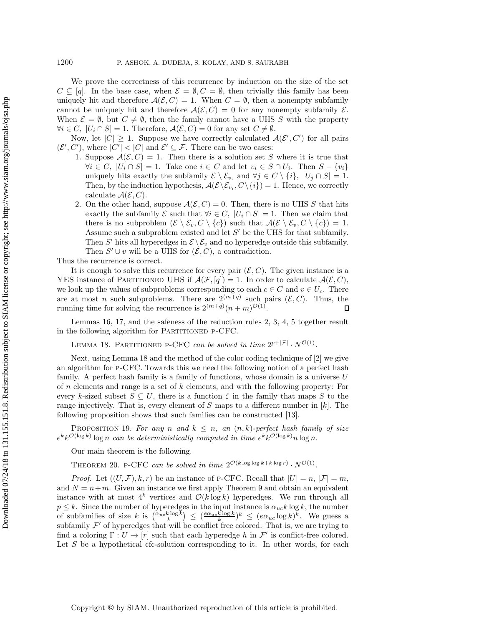We prove the correctness of this recurrence by induction on the size of the set  $C \subseteq [q]$ . In the base case, when  $\mathcal{E} = \emptyset, C = \emptyset$ , then trivially this family has been uniquely hit and therefore  $\mathcal{A}(\mathcal{E}, C) = 1$ . When  $C = \emptyset$ , then a nonempty subfamily cannot be uniquely hit and therefore  $\mathcal{A}(\mathcal{E}, C) = 0$  for any nonempty subfamily  $\mathcal{E}$ . When  $\mathcal{E} = \emptyset$ , but  $C \neq \emptyset$ , then the family cannot have a UHS S with the property  $\forall i \in C, |U_i \cap S| = 1.$  Therefore,  $\mathcal{A}(\mathcal{E}, C) = 0$  for any set  $C \neq \emptyset$ .

Now, let  $|C| \geq 1$ . Suppose we have correctly calculated  $\mathcal{A}(\mathcal{E}', C')$  for all pairs  $C'$  where  $|C'| \geq |C|$  and  $\mathcal{E}' \subset \mathcal{F}$ . There can be two cases:  $(\mathcal{E}', C')$ , where  $|C'| < |C|$  and  $\mathcal{E}' \subseteq \mathcal{F}$ . There can be two cases:<br>1. Suppose  $A(\mathcal{F}, C) = 1$ . Then there is a solution set S

- 1. Suppose  $A(\mathcal{E}, C) = 1$ . Then there is a solution set S where it is true that  $\forall i \in C, |U_i \cap S| = 1.$  Take one  $i \in C$  and let  $v_i \in S \cap U_i$ . Then  $S - \{v_i\}$ uniquely hits exactly the subfamily  $\mathcal{E} \setminus \mathcal{E}_{v_i}$  and  $\forall j \in C \setminus \{i\}, |U_j \cap S| = 1$ . Then, by the induction hypothesis,  $\mathcal{A}(\mathcal{E}\backslash \mathcal{E}_{v_i}, C\backslash \{i\}) = 1$ . Hence, we correctly calculate  $\mathcal{A}(\mathcal{E}, C)$ .
- 2. On the other hand, suppose  $\mathcal{A}(\mathcal{E}, C) = 0$ . Then, there is no UHS S that hits exactly the subfamily  $\mathcal E$  such that  $\forall i \in C, |U_i \cap S| = 1$ . Then we claim that there is no subproblem  $(\mathcal{E} \setminus \mathcal{E}_v, C \setminus \{c\})$  such that  $\mathcal{A}(\mathcal{E} \setminus \mathcal{E}_v, C \setminus \{c\}) = 1$ . Assume such a subproblem existed and let  $S'$  be the UHS for that subfamily. Then S' hits all hyperedges in  $\mathcal{E}\setminus\mathcal{E}_v$  and no hyperedge outside this subfamily. Then  $S' \cup v$  will be a UHS for  $(\mathcal{E}, C)$ , a contradiction.

Thus the recurrence is correct.

It is enough to solve this recurrence for every pair  $(\mathcal{E}, C)$ . The given instance is a YES instance of PARTITIONED UHS if  $\mathcal{A}(\mathcal{F}, [q]) = 1$ . In order to calculate  $\mathcal{A}(\mathcal{E}, C)$ , we look up the values of subproblems corresponding to each  $c \in C$  and  $v \in U_c$ . There are at most *n* such subproblems. There are  $2^{(m+q)}$  such pairs  $(\mathcal{E}, C)$ . Thus, the running time for solving the recurrence is  $2^{(m+q)}(n+m)^{O(1)}$ . running time for solving the recurrence is  $2^{(m+q)}(n+m)^{\mathcal{O}(1)}$ .

<span id="page-12-0"></span>Lemmas [16,](#page-10-0) [17,](#page-11-0) and the safeness of the reduction rules [2,](#page-8-0) [3,](#page-9-0) [4,](#page-9-1) [5](#page-9-2) together result in the following algorithm for PARTITIONED P-CFC.

LEMMA 18. PARTITIONED P-CFC *can be solved in time*  $2^{p+|\mathcal{F}|} \cdot N^{\mathcal{O}(1)}$ *.* 

Next, using Lemma [18](#page-12-0) and the method of the color coding technique of [\[2\]](#page-20-11) we give an algorithm for p-CFC. Towards this we need the following notion of a perfect hash family. A perfect hash family is a family of functions, whose domain is a universe  $U$ of  $n$  elements and range is a set of  $k$  elements, and with the following property: For every k-sized subset  $S \subseteq U$ , there is a function  $\zeta$  in the family that maps S to the range injectively. That is, every element of S maps to a different number in  $[k]$ . The following proposition shows that such families can be constructed [\[13\]](#page-20-15).

PROPOSITION 19. For any *n* and  $k \leq n$ , an  $(n, k)$ -perfect hash family of size  $e^{k}k^{\mathcal{O}(\log k)}\log n$  *can be deterministically computed in time*  $e^{k}k^{\mathcal{O}(\log k)}n\log n$ .

Our main theorem is the following.

THEOREM 20. P-CFC *can be solved in time*  $2^{\mathcal{O}(k \log \log k + k \log r)} \cdot N^{\mathcal{O}(1)}$ *.* 

*Proof.* Let  $((U, \mathcal{F}), k, r)$  be an instance of P-CFC. Recall that  $|U| = n$ ,  $|\mathcal{F}| = m$ , and  $N = n+m$ . Given an instance we first apply Theorem [9](#page-6-1) and obtain an equivalent instance with at most  $4^k$  vertices and  $\mathcal{O}(k \log k)$  hyperedges. We run through all  $p \leq k$ . Since the number of hyperedges in the input instance is  $\alpha_{uc} k \log k$ , the number<br>of subfamilies of size k is  $\alpha_{uc} k \log k$   $\leq$   $(\alpha_{uc} k \log k) k$   $\leq$   $(\alpha_{uc} \log k) k$ . We guess a of subfamilies of size k is  $\binom{\alpha_{uc}k\log k}{k} \leq \frac{e\alpha_{uc}k\log k}{k}$   $\leq (e\alpha_{uc}\log k)^k$ . We guess a subfamily  $\mathcal{F}'$  of hyperedges that will be conflict free colored. That is we are trying to subfamily  $\mathcal{F}'$  of hyperedges that will be conflict free colored. That is, we are trying to find a coloring  $\Gamma: U \to [r]$  such that each hyperedge h in  $\mathcal{F}'$  is conflict-free colored. Let  $S$  be a hypothetical cfc-solution corresponding to it. In other words, for each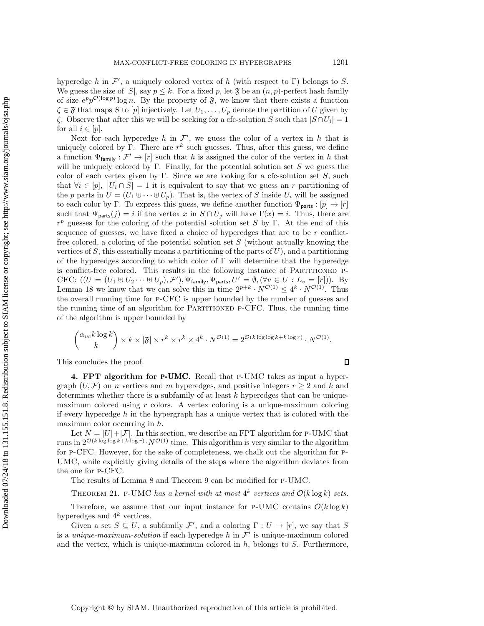hyperedge h in  $\mathcal{F}'$ , a uniquely colored vertex of h (with respect to  $\Gamma$ ) belongs to S.<br>We guess the size of  $|S|$  say  $n \leq k$ . For a fixed n let  $\mathfrak{F}$  be an  $(n, n)$ -perfect hash family We guess the size of  $|S|$ , say  $p \leq k$ . For a fixed p, let  $\mathfrak F$  be an  $(n, p)$ -perfect hash family of size  $e^p p^{\mathcal{O}(\log p)} \log n$ . By the property of  $\mathfrak{F}$ , we know that there exists a function  $\zeta \in \mathfrak{F}$  that maps S to  $[p]$  injectively. Let  $U_1, \ldots, U_p$  denote the partition of U given by  $\zeta$ . Observe that after this we will be seeking for a cfc-solution S such that  $|S \cap U_i| = 1$ for all  $i \in [p]$ .

Next for each hyperedge h in  $\mathcal{F}'$ , we guess the color of a vertex in h that is<br>unaly colored by  $\Gamma$ . There are  $x^k$  such guesses. Thus, after this guess, we define uniquely colored by Γ. There are  $r^k$  such guesses. Thus, after this guess, we define a function  $\Psi_{\text{family}} : \mathcal{F}' \to [r]$  such that h is assigned the color of the vertex in h that will be uniquely colored by Γ. Finally, for the potential solution set  $S$  we guess the color of each vertex given by Γ. Since we are looking for a cfc-solution set  $S$ , such that  $\forall i \in [p], |U_i \cap S| = 1$  it is equivalent to say that we guess an r partitioning of the p parts in  $U = (U_1 \oplus \cdots \oplus U_p)$ . That is, the vertex of S inside  $U_i$  will be assigned to each color by Γ. To express this guess, we define another function  $\Psi_{\text{parts}} : [p] \to [r]$ such that  $\Psi_{\text{parts}}(j) = i$  if the vertex x in  $S \cap U_j$  will have  $\Gamma(x) = i$ . Thus, there are  $r^p$  guesses for the coloring of the potential solution set S by Γ. At the end of this sequence of guesses, we have fixed a choice of hyperedges that are to be  $r$  conflictfree colored, a coloring of the potential solution set  $S$  (without actually knowing the vertices of  $S$ , this essentially means a partitioning of the parts of  $U$ ), and a partitioning of the hyperedges according to which color of  $\Gamma$  will determine that the hyperedge is conflict-free colored. This results in the following instance of PARTITIONED P-CFC:  $((U = (U_1 \oplus U_2 \cdots \oplus U_p), \mathcal{F}'), \Psi_{\text{family}}, \Psi_{\text{parts}}, U' = \emptyset, (\forall v \in U : L_v = [r]))$ . By<br>Lemma 18 we know that we can solve this in time  $2^{p+k} \cdot N^{\mathcal{O}(1)} \leq A^k \cdot N^{\mathcal{O}(1)}$ . Thus Lemma [18](#page-12-0) we know that we can solve this in time  $2^{p+k} \cdot N^{\mathcal{O}(1)} \leq 4^k \cdot N^{\mathcal{O}(1)}$ . Thus the overall running time for p-CFC is upper bounded by the number of guesses and the running time of an algorithm for Partitioned p-CFC. Thus, the running time of the algorithm is upper bounded by

$$
\binom{\alpha_{uc}k\log k}{k} \times k \times |\mathfrak{F}| \times r^k \times r^k \times 4^k \cdot N^{\mathcal{O}(1)} = 2^{\mathcal{O}(k\log\log k + k\log r)} \cdot N^{\mathcal{O}(1)}.
$$

This concludes the proof.

**4. FPT algorithm for** p-UMC**.** Recall that p-UMC takes as input a hypergraph  $(U, \mathcal{F})$  on *n* vertices and *m* hyperedges, and positive integers  $r \geq 2$  and k and determines whether there is a subfamily of at least  $k$  hyperedges that can be uniquemaximum colored using  $r$  colors. A vertex coloring is a unique-maximum coloring if every hyperedge  $h$  in the hypergraph has a unique vertex that is colored with the maximum color occurring in h.

Let  $N = |U| + |\mathcal{F}|$ . In this section, we describe an FPT algorithm for P-UMC that runs in  $2^{\mathcal{O}(k \log \log k + k \log r)} \cdot N^{\mathcal{O}(1)}$  time. This algorithm is very similar to the algorithm for p-CFC. However, for the sake of completeness, we chalk out the algorithm for p-UMC, while explicitly giving details of the steps where the algorithm deviates from the one for p-CFC.

<span id="page-13-0"></span>The results of Lemma [8](#page-6-2) and Theorem [9](#page-6-1) can be modified for p-UMC.

THEOREM 21. P-UMC has a kernel with at most  $4^k$  vertices and  $\mathcal{O}(k \log k)$  sets.

Therefore, we assume that our input instance for P-UMC contains  $\mathcal{O}(k \log k)$ hyperedges and  $4^k$  vertices.

Given a set  $S \subseteq U$ , a subfamily  $\mathcal{F}'$ , and a coloring  $\Gamma : U \to [r]$ , we say that S<br>*unique-maximum-colution* if each hyperedge h in  $\mathcal{F}'$  is unique-maximum colored is a *unique-maximum-solution* if each hyperedge  $h$  in  $\mathcal{F}'$  is unique-maximum colored and the vertex, which is unique-maximum colored in  $h$ , belongs to  $S$ . Furthermore,

 $\Box$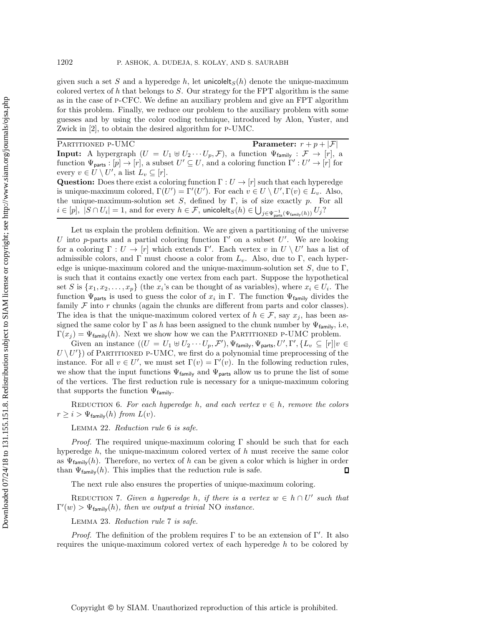given such a set S and a hyperedge h, let unicolelts  $(h)$  denote the unique-maximum colored vertex of h that belongs to  $S$ . Our strategy for the FPT algorithm is the same as in the case of p-CFC. We define an auxiliary problem and give an FPT algorithm for this problem. Finally, we reduce our problem to the auxiliary problem with some guesses and by using the color coding technique, introduced by Alon, Yuster, and Zwick in [\[2\]](#page-20-11), to obtain the desired algorithm for p-UMC.

PARTITIONED P-UMC<br> **Parameter:**  $r + p + |\mathcal{F}|$ <br> **Parameter:**  $r + p + |\mathcal{F}|$ <br> **Parameter:**  $r + p + |\mathcal{F}|$ **Input:** A hypergraph  $(U = U_1 \oplus U_2 \cdots U_p, \mathcal{F})$ , a function  $\Psi_{\text{family}} : \mathcal{F} \to [r]$ , a function  $\Psi_{\text{group}} : [r] \to [r]$  a subset  $U' \subset U$  and a coloring function  $\Gamma' \cdot U' \to [r]$  for function  $\Psi_{\text{parts}} : [p] \to [r]$ , a subset  $U' \subseteq U$ , and a coloring function  $\Gamma' : U' \to [r]$  for every  $v \in U \setminus U'$ , a list  $L_v \subseteq [r]$ .<br>Ouestion: Does there exist a col **Question:** Does there exist a coloring function  $\Gamma: U \to [r]$  such that each hyperedge is unique-maximum colored,  $\Gamma(U') = \Gamma'(U')$ . For each  $v \in U \setminus U', \Gamma(v) \in L_v$ . Also,<br>the unique-maximum-solution set S, defined by  $\Gamma$  is of size exactly n. For all the unique-maximum-solution set  $S$ , defined by  $\Gamma$ , is of size exactly p. For all  $i \in [p], |S \cap U_i| = 1$ , and for every  $h \in \mathcal{F}$ , unicolelt $S(h) \in \bigcup_{j \in \Psi_{\text{parts}}^{-1}(\Psi_{\text{family}}(h))} U_j$ ?

Let us explain the problem definition. We are given a partitioning of the universe U into p-parts and a partial coloring function  $\Gamma'$  on a subset U'. We are looking<br>for a coloring  $\Gamma : U \to [r]$  which extends  $\Gamma'$ . Each vertex  $v$  in  $U \setminus U'$  has a list of for a coloring  $\Gamma: U \to [r]$  which extends  $\Gamma'$ . Each vertex v in  $U \setminus U'$  has a list of admissible colors, and  $\Gamma$  must choose a color from L. Also, due to  $\Gamma$  each hyperadmissible colors, and Γ must choose a color from  $L_v$ . Also, due to Γ, each hyperedge is unique-maximum colored and the unique-maximum-solution set  $S$ , due to  $\Gamma$ , is such that it contains exactly one vertex from each part. Suppose the hypothetical set S is  $\{x_1, x_2, \ldots, x_p\}$  (the  $x_i$ 's can be thought of as variables), where  $x_i \in U_i$ . The function  $\Psi_{\text{parts}}$  is used to guess the color of  $x_i$  in Γ. The function  $\Psi_{\text{family}}$  divides the family  $\mathcal F$  into r chunks (again the chunks are different from parts and color classes). The idea is that the unique-maximum colored vertex of  $h \in \mathcal{F}$ , say  $x_j$ , has been assigned the same color by  $\Gamma$  as h has been assigned to the chunk number by  $\Psi_{\text{family}}$ , i.e,  $\Gamma(x_j) = \Psi_{\text{family}}(h)$ . Next we show how we can the PARTITIONED P-UMC problem.

Given an instance  $((U = U_1 \oplus U_2 \cdots U_p, \mathcal{F}'), \Psi_{\text{family}}, \Psi_{\text{parts}}, U', \Gamma', \{L_v \subseteq [r] | v \in$ <br> $(U')$  of PARTITIONED P-UMC, we first do a polynomial time preprocessing of the  $U \setminus U'$ ) of PARTITIONED P-UMC, we first do a polynomial time preprocessing of the<br>instance. For all  $v \in U'$ , we must set  $\Gamma(v) = \Gamma'(v)$ . In the following reduction rules instance. For all  $v \in U'$ , we must set  $\Gamma(v) = \Gamma'(v)$ . In the following reduction rules, we show that the input functions  $\Psi_{\text{family}}$  and  $\Psi_{\text{parts}}$  allow us to prune the list of some of the vertices. The first reduction rule is necessary for a unique-maximum coloring that supports the function  $\Psi_{\text{family}}$ .

<span id="page-14-0"></span>REDUCTION 6. For each hyperedge h, and each vertex  $v \in h$ , remove the colors  $r \geq i > \Psi_{\text{family}}(h)$  from  $L(v)$ .

Lemma 22. *Reduction rule* [6](#page-14-0) *is safe.*

*Proof.* The required unique-maximum coloring  $\Gamma$  should be such that for each hyperedge  $h$ , the unique-maximum colored vertex of  $h$  must receive the same color as  $\Psi_{\text{family}}(h)$ . Therefore, no vertex of h can be given a color which is higher in order than  $\Psi_{\text{family}}(h)$ . This implies that the reduction rule is safe. than  $\Psi_{\text{family}}(h)$ . This implies that the reduction rule is safe.

The next rule also ensures the properties of unique-maximum coloring.

<span id="page-14-1"></span>REDUCTION 7. *Given a hyperedge* h, if there is a vertex  $w \in h \cap U'$  such that  $\Gamma'(w) > \Psi_{\text{family}}(h)$ , then we output a trivial NO instance.

Lemma 23. *Reduction rule* [7](#page-14-1) *is safe.*

*Proof.* The definition of the problem requires  $\Gamma$  to be an extension of  $\Gamma'$ . It also requires the unique-maximum colored vertex of each hyperedge  $h$  to be colored by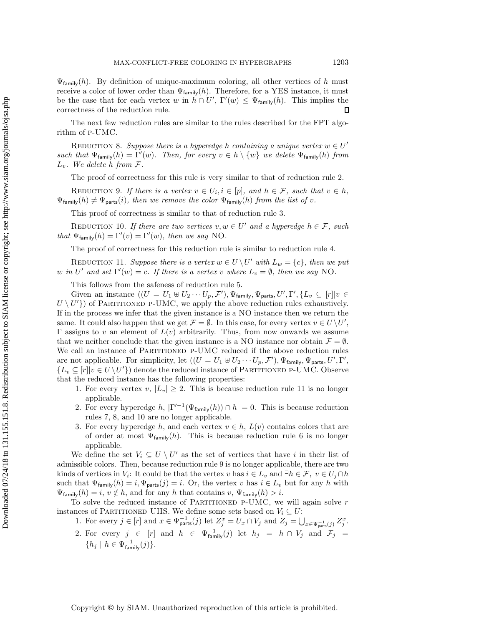$\Psi_{\text{family}}(h)$ . By definition of unique-maximum coloring, all other vertices of h must receive a color of lower order than  $\Psi_{\text{family}}(h)$ . Therefore, for a YES instance, it must be the case that for each vertex w in  $h \cap U'$ ,  $\Gamma'(w) \leq \Psi_{\text{family}}(h)$ . This implies the correctness of the reduction rule correctness of the reduction rule.

<span id="page-15-1"></span>The next few reduction rules are similar to the rules described for the FPT algorithm of p-UMC.

REDUCTION 8. *Suppose there is a hyperedge* h *containing a unique vertex*  $w \in U'$ *such that*  $\Psi_{\text{family}}(h) = \Gamma'(w)$ *. Then, for every*  $v \in h \setminus \{w\}$  *we delete*  $\Psi_{\text{family}}(h)$  *from*  $\Gamma$  $L_v$ *.* We delete h from  $\mathcal{F}$ *.* 

The proof of correctness for this rule is very similar to that of reduction rule [2.](#page-8-0)

<span id="page-15-3"></span>REDUCTION 9. If there is a vertex  $v \in U_i, i \in [p]$ , and  $h \in \mathcal{F}$ , such that  $v \in h$ ,  $\Psi_{\text{family}}(h) \neq \Psi_{\text{parts}}(i)$ , then we remove the color  $\Psi_{\text{family}}(h)$  from the list of v.

This proof of correctness is similar to that of reduction rule [3.](#page-9-0)

<span id="page-15-2"></span>REDUCTION 10. *If there are two vertices*  $v, w \in U'$  and a hyperedge  $h \in \mathcal{F}$ , such *that*  $\Psi_{\text{family}}(h) = \Gamma'(v) = \Gamma'(w)$ *, then we say* NO.

The proof of correctness for this reduction rule is similar to reduction rule [4.](#page-9-1)

<span id="page-15-0"></span>REDUCTION 11. Suppose there is a vertex  $w \in U \backslash U'$  with  $L_w = \{c\}$ , then we put w in U' and set  $\Gamma'(w) = c$ . If there is a vertex v where  $L_v = \emptyset$ , then we say NO.

This follows from the safeness of reduction rule [5.](#page-9-2)

Given an instance  $((U = U_1 \oplus U_2 \cdots U_p, \mathcal{F}'), \Psi_{\text{family}}, \Psi_{\text{parts}}, U', \Gamma', \{L_v \subseteq [r] | v \in$ <br> $U^{(1)}$  of PARTITIONED P-UMC, we apply the above reduction rules exhaustively  $U \setminus U'$  of PARTITIONED P-UMC, we apply the above reduction rules exhaustively.<br>If in the process we infer that the given instance is a NO instance then we return the If in the process we infer that the given instance is a NO instance then we return the same. It could also happen that we get  $\mathcal{F} = \emptyset$ . In this case, for every vertex  $v \in U \setminus U'$ ,<br>For example  $v \in U \setminus U'$ , and element of  $L(v)$  arbitrarily. Thus, from now onwards we assume Γ assigns to v an element of  $L(v)$  arbitrarily. Thus, from now onwards we assume that we neither conclude that the given instance is a NO instance nor obtain  $\mathcal{F} = \emptyset$ . We call an instance of PARTITIONED P-UMC reduced if the above reduction rules are not applicable. For simplicity, let  $((U = U_1 \oplus U_2 \cdots U_p, \mathcal{F}'), \Psi_{\text{family}}, \Psi_{\text{parts}}, U', \Gamma'')$ <br>*L*  $\subset [r]_{U} \in U \setminus U'$  denote the reduced instance of PARTITIONED P-UMC. Observe  ${L_v \subseteq [r] | v \in U \setminus U'}$  denote the reduced instance of PARTITIONED P-UMC. Observe that the reduced instance has the following properties:

- 1. For every vertex v,  $|L_v| \geq 2$ . This is because reduction rule [11](#page-15-0) is no longer applicable.
- 2. For every hyperedge h,  $|\Gamma'^{-1}(\Psi_{\text{family}}(h)) \cap h| = 0$ . This is because reduction rules [7,](#page-14-1) [8,](#page-15-1) and [10](#page-15-2) are no longer applicable.
- 3. For every hyperedge h, and each vertex  $v \in h$ ,  $L(v)$  contains colors that are of order at most  $\Psi_{\text{family}}(h)$ . This is because reduction rule [6](#page-14-0) is no longer applicable.

We define the set  $V_i \subseteq U \setminus U'$  as the set of vertices that have i in their list of admissible colors. Then, because reduction rule [9](#page-15-3) is no longer applicable, there are two kinds of vertices in  $V_i$ : It could be that the vertex v has  $i \in L_v$  and  $\exists h \in \mathcal{F}, v \in U_i \cap h$ such that  $\Psi_{\text{family}}(h) = i, \Psi_{\text{parts}}(j) = i$ . Or, the vertex v has  $i \in L_v$  but for any h with  $\Psi_{\text{family}}(h) = i, v \notin h$ , and for any h that contains  $v, \Psi_{\text{family}}(h) > i$ .

To solve the reduced instance of PARTITIONED P-UMC, we will again solve  $r$ instances of PARTITIONED UHS. We define some sets based on  $V_i \subseteq U$ :

1. For every  $j \in [r]$  and  $x \in \Psi_{\text{parts}}^{-1}(j)$  let  $Z_j^x = U_x \cap V_j$  and  $Z_j = \bigcup_{x \in \Psi_{\text{parts}}^{-1}(j)} Z_j^x$ .

2. For every  $j \in [r]$  and  $h \in \Psi_{\text{family}}^{-1}(j)$  let  $h_j = h \cap V_j$  and  $\mathcal{F}_j =$  $\{h_j \mid h \in \Psi_{\text{family}}^{-1}(j)\}.$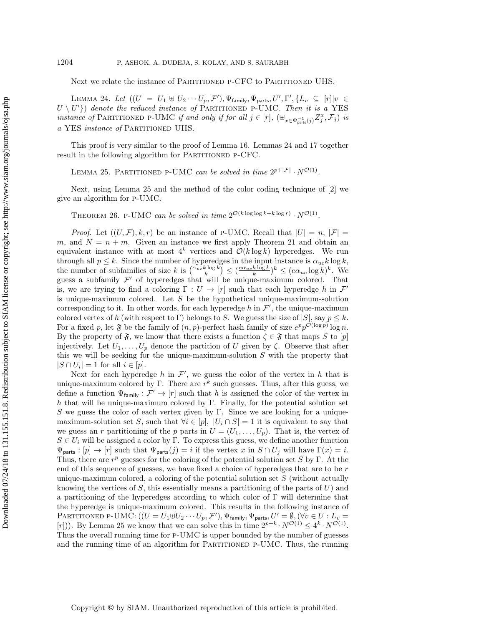<span id="page-16-0"></span>Next we relate the instance of PARTITIONED P-CFC to PARTITIONED UHS.

LEMMA 24. Let  $((U = U_1 \oplus U_2 \cdots U_p, \mathcal{F}'), \Psi_{\text{family}}, \Psi_{\text{parts}}, U', \Gamma', \{L_v \subseteq [r] | v \in$ <br> $U^{(1)}$ ), denote the reduced instance of PAPTITIONED P-UMC. Then it is a VES  $U \setminus U'$  denote the reduced instance of PARTITIONED P-UMC. Then it is a YES<br>instance of PARTITIONED P-UMC if and only if for all  $i \in [r]$  ( $\uparrow \downarrow$ *instance of* PARTITIONED P-UMC *if and only if for all*  $j \in [r]$ ,  $(\biguplus_{x \in \Psi_{\text{parts}}^{-1}(j)} Z_j^x, \mathcal{F}_j)$  *is a* YES *instance of* Partitioned UHS*.*

<span id="page-16-1"></span>This proof is very similar to the proof of Lemma [16.](#page-10-0) Lemmas [24](#page-16-0) and [17](#page-11-0) together result in the following algorithm for PARTITIONED P-CFC.

LEMMA 25. PARTITIONED P-UMC *can be solved in time*  $2^{p+|\mathcal{F}|} \cdot N^{\mathcal{O}(1)}$ *.* 

Next, using Lemma [25](#page-16-1) and the method of the color coding technique of [\[2\]](#page-20-11) we give an algorithm for p-UMC.

THEOREM 26. P-UMC *can be solved in time*  $2^{\mathcal{O}(k \log \log k + k \log r)} \cdot N^{\mathcal{O}(1)}$ .

*Proof.* Let  $((U,\mathcal{F}), k,r)$  be an instance of P-UMC. Recall that  $|U| = n, |\mathcal{F}| =$ m, and  $N = n + m$ . Given an instance we first apply Theorem [21](#page-13-0) and obtain an equivalent instance with at most  $4^k$  vertices and  $\mathcal{O}(k \log k)$  hyperedges. We run through all  $p \leq k$ . Since the number of hyperedges in the input instance is  $\alpha_{uc} k \log k$ , the number of subfamilies of size k is  $\binom{\alpha_{uc}k\log k}{k} \leq (\frac{e\alpha_{uc}k\log k}{k})^k \leq (e\alpha_{uc}\log k)^k$ . We guess a subfamily  $\mathcal{F}'$  of hyperedges that will be unique-maximum colored. That guess a subfamily  $\mathcal{F}'$  of hyperedges that will be unique-maximum colored. That is, we are trying to find a coloring  $\Gamma: U \to [r]$  such that each hyperedge h in  $\mathcal{F}'$ is unique-maximum colored. Let  $S$  be the hypothetical unique-maximum-solution corresponding to it. In other words, for each hyperedge h in  $\mathcal{F}'$ , the unique-maximum<br>colored vertex of h (with respect to  $\Gamma$ ) belongs to S. We guess the size of  $|S|$  say  $n \leq k$ colored vertex of h (with respect to Γ) belongs to S. We guess the size of  $|S|$ , say  $p \leq k$ . For a fixed p, let  $\mathfrak F$  be the family of  $(n, p)$ -perfect hash family of size  $e^p p^{\mathcal O(\log p)} \log n$ . By the property of  $\mathfrak{F}$ , we know that there exists a function  $\zeta \in \mathfrak{F}$  that maps S to [p] injectively. Let  $U_1,\ldots,U_p$  denote the partition of U given by  $\zeta$ . Observe that after this we will be seeking for the unique-maximum-solution  $S$  with the property that  $|S \cap U_i| = 1$  for all  $i \in [p]$ .

Next for each hyperedge h in  $\mathcal{F}'$ , we guess the color of the vertex in h that is<br>up-maximum colored by  $\Gamma$ . There are  $r^k$  such guesses. Thus, after this guess we unique-maximum colored by Γ. There are  $r^k$  such guesses. Thus, after this guess, we define a function  $\Psi_{\text{family}} : \mathcal{F}' \to [r]$  such that h is assigned the color of the vertex in h that will be unique-maximum colored by Γ. Finally, for the potential solution set S we guess the color of each vertex given by Γ. Since we are looking for a uniquemaximum-solution set S, such that  $\forall i \in [p], |U_i \cap S| = 1$  it is equivalent to say that we guess an r partitioning of the p parts in  $U = (U_1, \ldots, U_p)$ . That is, the vertex of  $S \in U_i$  will be assigned a color by Γ. To express this guess, we define another function  $\Psi_{\text{parts}} : [p] \to [r]$  such that  $\Psi_{\text{parts}}(j) = i$  if the vertex x in  $S \cap U_j$  will have  $\Gamma(x) = i$ . Thus, there are  $r^p$  guesses for the coloring of the potential solution set S by Γ. At the end of this sequence of guesses, we have fixed a choice of hyperedges that are to be  $r$ unique-maximum colored, a coloring of the potential solution set  $S$  (without actually knowing the vertices of S, this essentially means a partitioning of the parts of  $U$ ) and a partitioning of the hyperedges according to which color of  $\Gamma$  will determine that the hyperedge is unique-maximum colored. This results in the following instance of PARTITIONED P-UMC:  $((U = U_1 \oplus U_2 \cdots U_p, \mathcal{F}'), \Psi_{\text{family}}, \Psi_{\text{parts}}, U' = \emptyset, (\forall v \in U : L_v = (v_1))$ . By Lamma 25 we know that we can solve this in time  $2^{p+k} \cdot N^{\mathcal{O}(1)} < 4^k \cdot N^{\mathcal{O}(1)}$ . [r])). By Lemma [25](#page-16-1) we know that we can solve this in time  $2^{p+k} \cdot N^{\mathcal{O}(1)} \leq 4^k \cdot N^{\mathcal{O}(1)}$ .<br>Thus the overall running time for P-UMC is upper bounded by the number of guesses Thus the overall running time for p-UMC is upper bounded by the number of guesses and the running time of an algorithm for PARTITIONED P-UMC. Thus, the running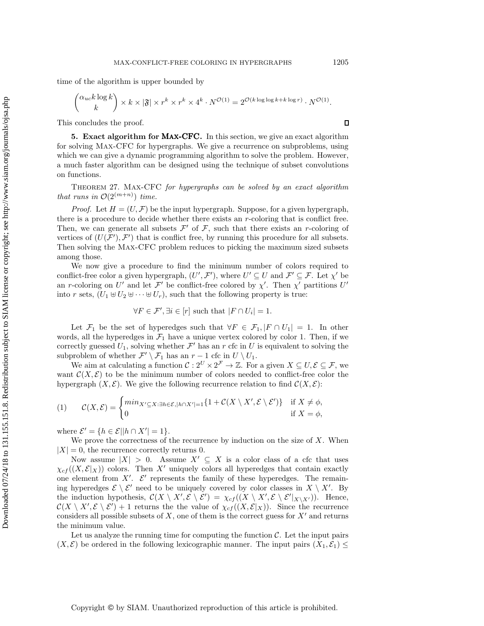$$
\binom{\alpha_{uc}k\log k}{k} \times k \times |\mathfrak{F}| \times r^k \times r^k \times 4^k \cdot N^{\mathcal{O}(1)} = 2^{\mathcal{O}(k\log\log k + k\log r)} \cdot N^{\mathcal{O}(1)}.
$$

<span id="page-17-0"></span>This concludes the proof.

**5. Exact algorithm for** Max-CFC**.** In this section, we give an exact algorithm for solving Max-CFC for hypergraphs. We give a recurrence on subproblems, using which we can give a dynamic programming algorithm to solve the problem. However, a much faster algorithm can be designed using the technique of subset convolutions on functions.

Theorem 27. Max-CFC *for hypergraphs can be solved by an exact algorithm that runs in*  $\mathcal{O}(2^{(m+n)})$  *time.* 

*Proof.* Let  $H = (U, \mathcal{F})$  be the input hypergraph. Suppose, for a given hypergraph, there is a procedure to decide whether there exists an  $r$ -coloring that is conflict free. Then, we can generate all subsets  $\mathcal{F}'$  of  $\mathcal{F}$ , such that there exists an r-coloring of vertices of  $(U(\mathcal{F}'), \mathcal{F}')$  that is conflict free, by running this procedure for all subsets.<br>Then solving the MAX-CEC problem reduces to picking the maximum sized subsets. Then solving the Max-CFC problem reduces to picking the maximum sized subsets among those.

We now give a procedure to find the minimum number of colors required to conflict-free color a given hypergraph,  $(U', \mathcal{F}')$ , where  $U' \subseteq U$  and  $\mathcal{F}' \subseteq \mathcal{F}$ . Let  $\chi'$  be<br>an *r*-coloring on  $U'$  and let  $\mathcal{F}'$  be conflict-free colored by  $\chi'$ . Then  $\chi'$  partitions  $U'$ an r-coloring on U' and let  $\mathcal{F}'$  be conflict-free colored by  $\chi'$ . Then  $\chi'$  partitions U'<br>into r sets  $(U, \mathbb{H}U_0 \mathbb{H} \dots \mathbb{H}U)$  such that the following property is true: into r sets,  $(U_1 \oplus U_2 \oplus \cdots \oplus U_r)$ , such that the following property is true:

$$
\forall F \in \mathcal{F}', \exists i \in [r] \text{ such that } |F \cap U_i| = 1.
$$

Let  $\mathcal{F}_1$  be the set of hyperedges such that  $\forall F \in \mathcal{F}_1, |F \cap U_1| = 1$ . In other words, all the hyperedges in  $\mathcal{F}_1$  have a unique vertex colored by color 1. Then, if we correctly guessed  $U_1$ , solving whether  $\mathcal{F}'$  has an r cfc in U is equivalent to solving the subproblem of whether  $\mathcal{F}' \setminus \mathcal{F}_1$  has an  $r - 1$  cfc in  $U \setminus U_1$ .

We aim at calculating a function  $\mathcal{C}: 2^U \times 2^{\mathcal{F}} \to \mathbb{Z}$ . For a given  $X \subseteq U, \mathcal{E} \subseteq \mathcal{F}$ , we want  $\mathcal{C}(X,\mathcal{E})$  to be the minimum number of colors needed to conflict-free color the hypergraph  $(X, \mathcal{E})$ . We give the following recurrence relation to find  $\mathcal{C}(X, \mathcal{E})$ :

(1) 
$$
\mathcal{C}(X,\mathcal{E}) = \begin{cases} \min_{X' \subseteq X: \exists h \in \mathcal{E}, |h \cap X'|=1} \{1 + \mathcal{C}(X \setminus X', \mathcal{E} \setminus \mathcal{E}')\} & \text{if } X \neq \phi, \\ 0 & \text{if } X = \phi, \end{cases}
$$

where  $\mathcal{E}' = \{h \in \mathcal{E} | |h \cap X'| = 1\}.$ <br>We prove the correctness of i

We prove the correctness of the recurrence by induction on the size of  $X$ . When  $|X| = 0$ , the recurrence correctly returns 0.

Now assume  $|X| > 0$ . Assume  $X' \subseteq X$  is a color class of a cfc that uses  $\chi_{cf}((X,\mathcal{E}|_X))$  colors. Then X' uniquely colors all hyperedges that contain exactly one element from X'.  $\mathcal{E}'$  represents the family of these hyperedges. The remain-<br>ing hyperedges  $\mathcal{E} \setminus \mathcal{E}'$  need to be uniquely covered by color classes in  $X \setminus X'$ . By ing hyperedges  $\mathcal{E} \setminus \mathcal{E}'$  need to be uniquely covered by color classes in  $X \setminus X'$ . By the induction hypothesis,  $\mathcal{C}(X \setminus X', \mathcal{E} \setminus \mathcal{E}') = \chi_{cf}((X \setminus X', \mathcal{E} \setminus \mathcal{E}'|_{X \setminus X'}))$ . Hence,<br>  $\mathcal{C}(X \setminus X', \mathcal{E} \setminus \mathcal{E}') + 1$  returns the the value of  $\chi_{cf}((X \setminus \mathcal{E}|_{X}))$ . Since the recurrence  $\mathcal{C}(X \setminus X', \mathcal{E} \setminus \mathcal{E}')$  + 1 returns the the value of  $\chi_{cf}((X, \mathcal{E}|_X))$ . Since the recurrence considers all possible subsets of X and of them is the correct guess for  $X'$  and returns considers all possible subsets of  $X$ , one of them is the correct guess for  $X'$  and returns the minimum value.

Let us analyze the running time for computing the function  $\mathcal{C}$ . Let the input pairs  $(X, \mathcal{E})$  be ordered in the following lexicographic manner. The input pairs  $(X_1, \mathcal{E}_1) \leq$ 

 $\Box$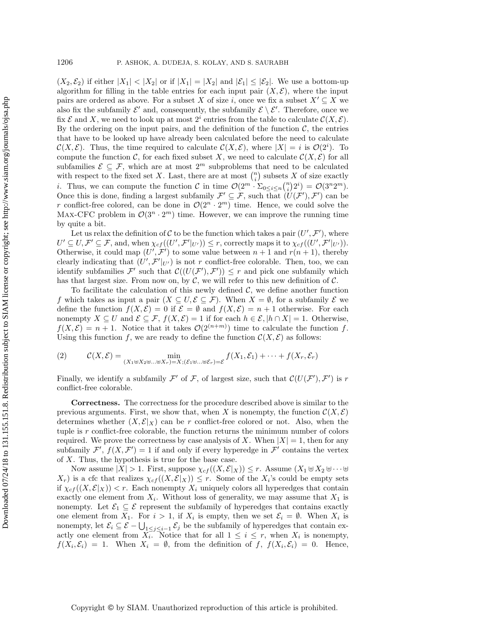$(X_2, \mathcal{E}_2)$  if either  $|X_1| < |X_2|$  or if  $|X_1| = |X_2|$  and  $|\mathcal{E}_1| \leq |\mathcal{E}_2|$ . We use a bottom-up algorithm for filling in the table entries for each input pair  $(X, \mathcal{E})$ , where the input pairs are ordered as above. For a subset X of size i, once we fix a subset  $X' \subseteq X$  we also fix the subfamily  $\mathcal{E}'$  and, consequently, the subfamily  $\mathcal{E} \setminus \mathcal{E}'$ . Therefore, once we fix  $\mathcal E$  and X, we need to look up at most  $2^i$  entries from the table to calculate  $\mathcal C(X, \mathcal E)$ . By the ordering on the input pairs, and the definition of the function  $\mathcal{C}$ , the entries that have to be looked up have already been calculated before the need to calculate  $\mathcal{C}(X,\mathcal{E})$ . Thus, the time required to calculate  $\mathcal{C}(X,\mathcal{E})$ , where  $|X| = i$  is  $\mathcal{O}(2^i)$ . To compute the function  $\mathcal{C}$  for each fixed subset X, we need to calculate  $\mathcal{C}(X,\mathcal{E})$  for all compute the function C, for each fixed subset X, we need to calculate  $\mathcal{C}(X,\mathcal{E})$  for all subfamilies  $\mathcal{E} \subseteq \mathcal{F}$ , which are at most  $2^m$  subproblems that need to be calculated with respect to the fixed set X. Last, there are at most  $\binom{n}{i}$  subsets X of size exactly *i*. Thus, we can compute the function C in time  $\mathcal{O}(2^m \cdot \Sigma_{0 \le i \le n} {n \choose i} 2^i) = \mathcal{O}(3^n 2^m)$ .<br>Once this is done, finding a largest subfamily  $\mathcal{F}' \subset \mathcal{F}$  such that  $(IL(\mathcal{F}') \mathcal{F}')$  can be Once this is done, finding a largest subfamily  $\mathcal{F}' \subseteq \mathcal{F}$ , such that  $(U(\mathcal{F}'), \mathcal{F}')$  can be  $x$  conflict-free colored can be done in  $\mathcal{O}(2^n \cdot 2^m)$  time. Hence, we could solve the r conflict-free colored, can be done in  $\mathcal{O}(2^n \cdot 2^m)$  time. Hence, we could solve the MAX-CFC problem in  $\mathcal{O}(3^n \cdot 2^m)$  time. However, we can improve the running time by quite a bit.

Let us relax the definition of C to be the function which takes a pair  $(U', \mathcal{F}')$ , where<br> $\overline{L} \overline{L} \subset \overline{L}$  and when  $\chi_{cl}(U' \overline{L'} |_{\infty}) \leq \chi_{cl}$  correctly maps it to  $\chi_{cl}(U' \overline{L'} |_{\infty})$  $U' \subseteq U, \mathcal{F}' \subseteq \mathcal{F}$ , and, when  $\chi_{cf}((U', \mathcal{F}'|_{U'})) \leq r$ , correctly maps it to  $\chi_{cf}((U', \mathcal{F}'|_{U'}))$ .<br>Otherwise, it could map  $(U', \mathcal{F}')$  to some value between  $r+1$  and  $r(r+1)$ , thereby Otherwise, it could map  $(U', \mathcal{F}')$  to some value between  $n + 1$  and  $r(n + 1)$ , thereby<br>clearly indicating that  $(U', \mathcal{F}')$  is not x conflict-free colorable. Then, too, we can clearly indicating that  $(U', \mathcal{F}'|_{U'})$  is not r conflict-free colorable. Then, too, we can<br>identify subfamilies  $\mathcal{F}'$  such that  $\mathcal{C}((U(\mathcal{F}') \mathcal{F}')) \leq r$  and pick one subfamily which identify subfamilies  $\mathcal{F}'$  such that  $\mathcal{C}((U(\mathcal{F}'), \mathcal{F}')) \leq r$  and pick one subfamily which<br>has that largest size. From now on by  $\mathcal{C}$  we will refer to this new definition of  $\mathcal{C}$ has that largest size. From now on, by  $C$ , we will refer to this new definition of  $C$ .

To facilitate the calculation of this newly defined  $C$ , we define another function f which takes as input a pair  $(X \subseteq U, \mathcal{E} \subseteq \mathcal{F})$ . When  $X = \emptyset$ , for a subfamily  $\mathcal E$  we define the function  $f(X, \mathcal{E}) = 0$  if  $\mathcal{E} = \emptyset$  and  $f(X, \mathcal{E}) = n + 1$  otherwise. For each nonempty  $X \subseteq U$  and  $\mathcal{E} \subseteq \mathcal{F}$ ,  $f(X, \mathcal{E}) = 1$  if for each  $h \in \mathcal{E}$ ,  $|h \cap X| = 1$ . Otherwise,  $f(X,\mathcal{E}) = n+1$ . Notice that it takes  $\mathcal{O}(2^{(n+m)})$  time to calculate the function f.<br>Using this function f, we are ready to define the function  $\mathcal{C}(X,\mathcal{E})$  as follows: Using this function f, we are ready to define the function  $\mathcal{C}(X,\mathcal{E})$  as follows:

(2) 
$$
\mathcal{C}(X,\mathcal{E}) = \min_{(X_1 \uplus X_2 \uplus \ldots \uplus X_r) = X; (\mathcal{E}_1 \uplus \ldots \uplus \mathcal{E}_r) = \mathcal{E}} f(X_1,\mathcal{E}_1) + \cdots + f(X_r,\mathcal{E}_r)
$$

Finally, we identify a subfamily  $\mathcal{F}'$  of  $\mathcal{F}$ , of largest size, such that  $\mathcal{C}(U(\mathcal{F}'), \mathcal{F}')$  is recordict-free colorable conflict-free colorable.

**Correctness.** The correctness for the procedure described above is similar to the previous arguments. First, we show that, when X is nonempty, the function  $\mathcal{C}(X,\mathcal{E})$ determines whether  $(X, \mathcal{E}|_X)$  can be r conflict-free colored or not. Also, when the tuple is r conflict-free colorable, the function returns the minimum number of colors required. We prove the correctness by case analysis of X. When  $|X| = 1$ , then for any subfamily  $\mathcal{F}', f(X, \mathcal{F}') = 1$  if and only if every hyperedge in  $\mathcal{F}'$  contains the vertex of X. Thus, the hypothesis is true for the base case of X. Thus, the hypothesis is true for the base case.

Now assume  $|X| > 1$ . First, suppose  $\chi_{cf}((X, \mathcal{E}|_X)) \leq r$ . Assume  $(X_1 \uplus X_2 \uplus \cdots \uplus$  $(X_r)$  is a cfc that realizes  $\chi_{cf}((X,\mathcal{E}|_X)) \leq r$ . Some of the  $X_i$ 's could be empty sets if  $\chi_{cf}((X,\mathcal{E}|_X)) < r$ . Each nonempty  $X_i$  uniquely colors all hyperedges that contain exactly one element from  $X_i$ . Without loss of generality, we may assume that  $X_1$  is nonempty. Let  $\mathcal{E}_1 \subseteq \mathcal{E}$  represent the subfamily of hyperedges that contains exactly one element from  $X_1$ . For  $i > 1$ , if  $X_i$  is empty, then we set  $\mathcal{E}_i = \emptyset$ . When  $X_i$  is nonempty, let  $\mathcal{E}_i \subseteq \mathcal{E} - \bigcup_{1 \leq j \leq i-1} \mathcal{E}_j$  be the subfamily of hyperedges that contain ex-<br>partly one element from  $X_i$ . Notice that for all  $1 \leq i \leq r$  when  $X_i$  is nonempty actly one element from  $X_i$ . Notice that for all  $1 \leq i \leq r$ , when  $X_i$  is nonempty,  $f(X_i, \mathcal{E}_i) = 1$ . When  $X_i = \emptyset$ , from the definition of f,  $f(X_i, \mathcal{E}_i) = 0$ . Hence,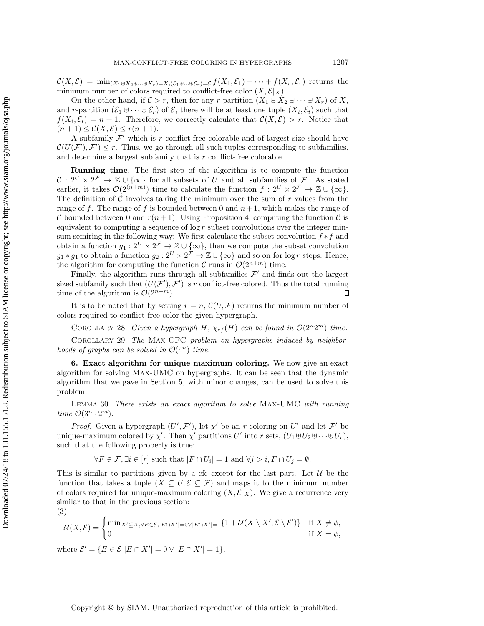$\mathcal{C}(X,\mathcal{E}) = \min_{(X_1 \oplus X_2 \oplus \ldots \oplus X_r)=X;(\mathcal{E}_1 \oplus \ldots \oplus \mathcal{E}_r)=\mathcal{E}} f(X_1,\mathcal{E}_1) + \cdots + f(X_r,\mathcal{E}_r)$  returns the minimum number of colors required to conflict-free color  $(X, \mathcal{E}|_X)$ .

On the other hand, if  $C > r$ , then for any r-partition  $(X_1 \oplus X_2 \oplus \cdots \oplus X_r)$  of X, and r-partition  $(\mathcal{E}_1 \oplus \cdots \oplus \mathcal{E}_r)$  of  $\mathcal{E}_r$ , there will be at least one tuple  $(X_i, \mathcal{E}_i)$  such that  $f(X_i, \mathcal{E}_i) = n + 1$ . Therefore, we correctly calculate that  $\mathcal{C}(X, \mathcal{E}) > r$ . Notice that  $(n+1) \leq \mathcal{C}(X,\mathcal{E}) \leq r(n+1).$ 

A subfamily  $\mathcal{F}'$  which is r conflict-free colorable and of largest size should have  $\mathcal{C}(U(\mathcal{F}'), \mathcal{F}') \leq r$ . Thus, we go through all such tuples corresponding to subfamilies, and determine a largest subfamily that is  $r$  conflict-free colorable.

**Running time.** The first step of the algorithm is to compute the function  $\mathcal{C}: 2^U \times 2^{\mathcal{F}} \to \mathbb{Z} \cup \{\infty\}$  for all subsets of U and all subfamilies of F. As stated earlier, it takes  $\mathcal{O}(2^{(n+m)})$  time to calculate the function  $f: 2^U \times 2^{\mathcal{F}} \to \mathbb{Z} \cup {\infty}$ . The definition of  $\mathcal C$  involves taking the minimum over the sum of  $r$  values from the range of f. The range of f is bounded between 0 and  $n+1$ , which makes the range of C bounded between 0 and  $r(n + 1)$ . Using Proposition [4,](#page-4-0) computing the function C is equivalent to computing a sequence of  $\log r$  subset convolutions over the integer min-<br>sum semiring in the following way: We first calculate the subset convolution  $f * f$  and sum semiring in the following way: We first calculate the subset convolution  $f * f$  and<br>obtain a function  $a_i : 2^U \times 2^{\mathcal{F}} \to \mathbb{Z} \cup \{\infty\}$  then we compute the subset convolution obtain a function  $g_1 : 2^U \times 2^{\mathcal{F}} \to \mathbb{Z} \cup {\infty}$ , then we compute the subset convolution  $g_1 * g_2$  to obtain a function  $g_2 : 2^U \times 2^{\mathcal{F}} \to \mathbb{Z} \cup {\infty}$  and so on for log r steps. Hence  $g_1 * g_1$  to obtain a function  $g_2 : 2^U \times 2^{\tilde{F}} \to \mathbb{Z} \cup {\infty}$  and so on for log r steps. Hence, the algorithm for computing the function  $C$  runs in  $O(2^{n+m})$  time the algorithm for computing the function  $\mathcal C$  runs in  $\mathcal O(2^{n+m})$  time.

Finally, the algorithm runs through all subfamilies  $\mathcal{F}'$  and finds out the largest sized subfamily such that  $(U(\mathcal{F}'), \mathcal{F}')$  is r conflict-free colored. Thus the total running<br>time of the algorithm is  $O(2^{n+m})$ time of the algorithm is  $\mathcal{O}(2^{n+m})$ .

It is to be noted that by setting  $r = n$ ,  $\mathcal{C}(U, \mathcal{F})$  returns the minimum number of colors required to conflict-free color the given hypergraph.

COROLLARY 28. *Given a hypergraph*  $H$ ,  $\chi_{cf}(H)$  *can be found in*  $\mathcal{O}(2^n2^m)$  *time.* 

Corollary 29. *The* Max-CFC *problem on hypergraphs induced by neighborhoods of graphs can be solved in*  $\mathcal{O}(4^n)$  *time.* 

**6. Exact algorithm for unique maximum coloring.** We now give an exact algorithm for solving Max-UMC on hypergraphs. It can be seen that the dynamic algorithm that we gave in Section [5,](#page-17-0) with minor changes, can be used to solve this problem.

Lemma 30. *There exists an exact algorithm to solve* Max-UMC *with running time*  $\mathcal{O}(3^n \cdot 2^m)$ *.* 

*Proof.* Given a hypergraph  $(U', \mathcal{F}')$ , let  $\chi'$  be an r-coloring on U' and let  $\mathcal{F}'$  be une-maximum colored by  $\chi'$ . Then  $\chi'$  partitions  $U'$  into r sets  $(U, \mathbb{H}U)$ unique-maximum colored by  $\chi'$ . Then  $\chi'$  partitions U' into r sets,  $(U_1 \oplus U_2 \oplus \cdots \oplus U_r)$ ,<br>such that the following property is true: such that the following property is true:

$$
\forall F \in \mathcal{F}, \exists i \in [r] \text{ such that } |F \cap U_i| = 1 \text{ and } \forall j > i, F \cap U_j = \emptyset.
$$

This is similar to partitions given by a cfc except for the last part. Let  $\mathcal U$  be the function that takes a tuple  $(X \subseteq U, \mathcal{E} \subseteq \mathcal{F})$  and maps it to the minimum number of colors required for unique-maximum coloring  $(X, \mathcal{E}|_X)$ . We give a recurrence very similar to that in the previous section:

(3)

$$
\mathcal{U}(X,\mathcal{E}) = \begin{cases} \min_{X' \subseteq X, \forall E \in \mathcal{E}, |E \cap X'| = 0 \vee |E \cap X'| = 1} \{1 + \mathcal{U}(X \setminus X', \mathcal{E} \setminus \mathcal{E}')\} & \text{if } X \neq \phi, \\ 0 & \text{if } X = \phi, \end{cases}
$$

where 
$$
\mathcal{E}' = \{ E \in \mathcal{E} | |E \cap X'| = 0 \vee |E \cap X'| = 1 \}.
$$